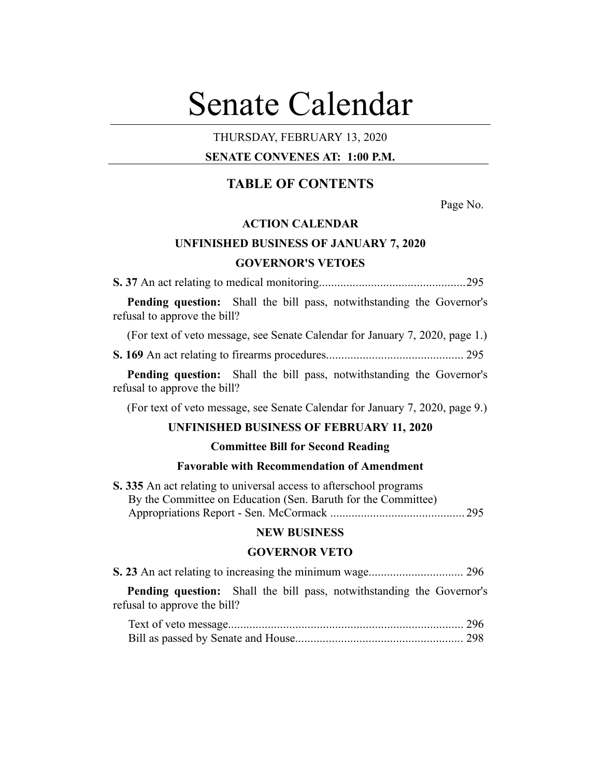# Senate Calendar

# THURSDAY, FEBRUARY 13, 2020

# **SENATE CONVENES AT: 1:00 P.M.**

# **TABLE OF CONTENTS**

Page No.

# **ACTION CALENDAR**

# **UNFINISHED BUSINESS OF JANUARY 7, 2020 GOVERNOR'S VETOES**

**S. 37** An act relating to medical monitoring................................................295

**Pending question:** Shall the bill pass, notwithstanding the Governor's refusal to approve the bill?

(For text of veto message, see Senate Calendar for January 7, 2020, page 1.)

**S. 169** An act relating to firearms procedures............................................. 295

**Pending question:** Shall the bill pass, notwithstanding the Governor's refusal to approve the bill?

(For text of veto message, see Senate Calendar for January 7, 2020, page 9.)

## **UNFINISHED BUSINESS OF FEBRUARY 11, 2020**

#### **Committee Bill for Second Reading**

## **Favorable with Recommendation of Amendment**

**S. 335** An act relating to universal access to afterschool programs By the Committee on Education (Sen. Baruth for the Committee) Appropriations Report - Sen. McCormack ............................................ 295

#### **NEW BUSINESS**

#### **GOVERNOR VETO**

**Pending question:** Shall the bill pass, notwithstanding the Governor's refusal to approve the bill?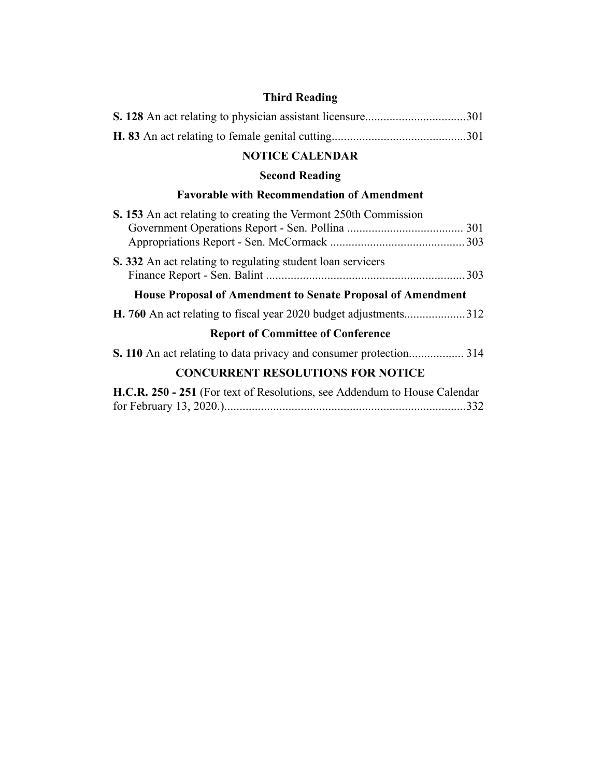# **Third Reading**

# **NOTICE CALENDAR**

# **Second Reading**

# **Favorable with Recommendation of Amendment**

| S. 153 An act relating to creating the Vermont 250th Commission                   |  |  |  |  |  |
|-----------------------------------------------------------------------------------|--|--|--|--|--|
| <b>S.</b> 332 An act relating to regulating student loan servicers                |  |  |  |  |  |
| <b>House Proposal of Amendment to Senate Proposal of Amendment</b>                |  |  |  |  |  |
|                                                                                   |  |  |  |  |  |
| <b>Report of Committee of Conference</b>                                          |  |  |  |  |  |
|                                                                                   |  |  |  |  |  |
| <b>CONCURRENT RESOLUTIONS FOR NOTICE</b>                                          |  |  |  |  |  |
| <b>H.C.R. 250 - 251</b> (For text of Resolutions, see Addendum to House Calendar) |  |  |  |  |  |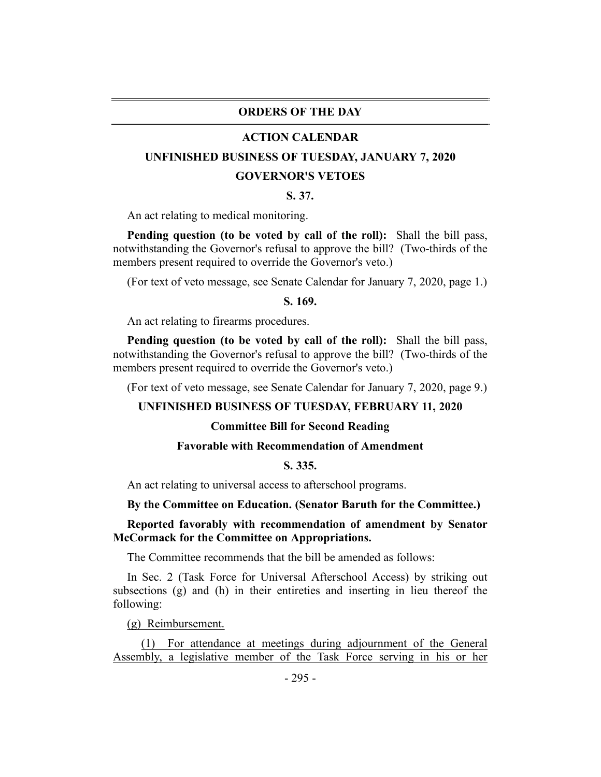## **ORDERS OF THE DAY**

#### **ACTION CALENDAR**

## **UNFINISHED BUSINESS OF TUESDAY, JANUARY 7, 2020**

#### **GOVERNOR'S VETOES**

#### **S. 37.**

An act relating to medical monitoring.

**Pending question (to be voted by call of the roll):** Shall the bill pass, notwithstanding the Governor's refusal to approve the bill? (Two-thirds of the members present required to override the Governor's veto.)

(For text of veto message, see Senate Calendar for January 7, 2020, page 1.)

#### **S. 169.**

An act relating to firearms procedures.

**Pending question (to be voted by call of the roll):** Shall the bill pass, notwithstanding the Governor's refusal to approve the bill? (Two-thirds of the members present required to override the Governor's veto.)

(For text of veto message, see Senate Calendar for January 7, 2020, page 9.)

#### **UNFINISHED BUSINESS OF TUESDAY, FEBRUARY 11, 2020**

#### **Committee Bill for Second Reading**

#### **Favorable with Recommendation of Amendment**

## **S. 335.**

An act relating to universal access to afterschool programs.

#### **By the Committee on Education. (Senator Baruth for the Committee.)**

## **Reported favorably with recommendation of amendment by Senator McCormack for the Committee on Appropriations.**

The Committee recommends that the bill be amended as follows:

In Sec. 2 (Task Force for Universal Afterschool Access) by striking out subsections (g) and (h) in their entireties and inserting in lieu thereof the following:

(g) Reimbursement.

(1) For attendance at meetings during adjournment of the General Assembly, a legislative member of the Task Force serving in his or her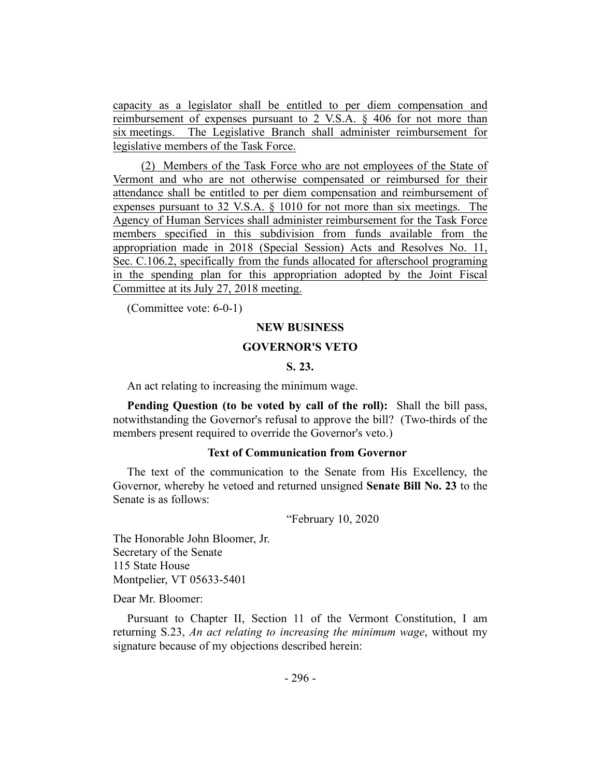capacity as a legislator shall be entitled to per diem compensation and reimbursement of expenses pursuant to 2 V.S.A. § 406 for not more than six meetings. The Legislative Branch shall administer reimbursement for legislative members of the Task Force.

(2) Members of the Task Force who are not employees of the State of Vermont and who are not otherwise compensated or reimbursed for their attendance shall be entitled to per diem compensation and reimbursement of expenses pursuant to 32 V.S.A. § 1010 for not more than six meetings. The Agency of Human Services shall administer reimbursement for the Task Force members specified in this subdivision from funds available from the appropriation made in 2018 (Special Session) Acts and Resolves No. 11, Sec. C.106.2, specifically from the funds allocated for afterschool programing in the spending plan for this appropriation adopted by the Joint Fiscal Committee at its July 27, 2018 meeting.

(Committee vote: 6-0-1)

#### **NEW BUSINESS**

## **GOVERNOR'S VETO**

## **S. 23.**

An act relating to increasing the minimum wage.

**Pending Question (to be voted by call of the roll):** Shall the bill pass, notwithstanding the Governor's refusal to approve the bill? (Two-thirds of the members present required to override the Governor's veto.)

## **Text of Communication from Governor**

The text of the communication to the Senate from His Excellency, the Governor, whereby he vetoed and returned unsigned **Senate Bill No. 23** to the Senate is as follows:

#### "February 10, 2020

The Honorable John Bloomer, Jr. Secretary of the Senate 115 State House Montpelier, VT 05633-5401

Dear Mr. Bloomer:

Pursuant to Chapter II, Section 11 of the Vermont Constitution, I am returning S.23, *An act relating to increasing the minimum wage*, without my signature because of my objections described herein: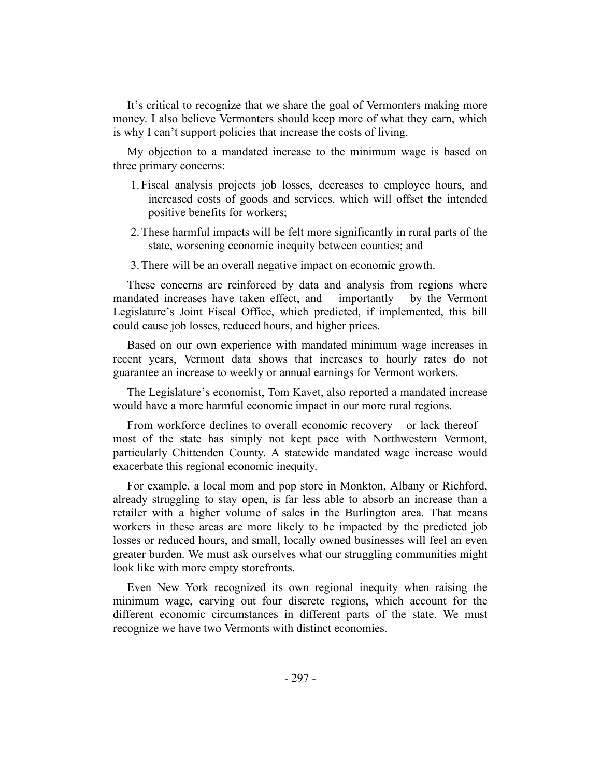It's critical to recognize that we share the goal of Vermonters making more money. I also believe Vermonters should keep more of what they earn, which is why I can't support policies that increase the costs of living.

My objection to a mandated increase to the minimum wage is based on three primary concerns:

- 1. Fiscal analysis projects job losses, decreases to employee hours, and increased costs of goods and services, which will offset the intended positive benefits for workers;
- 2.These harmful impacts will be felt more significantly in rural parts of the state, worsening economic inequity between counties; and
- 3.There will be an overall negative impact on economic growth.

These concerns are reinforced by data and analysis from regions where mandated increases have taken effect, and – importantly – by the Vermont Legislature's Joint Fiscal Office, which predicted, if implemented, this bill could cause job losses, reduced hours, and higher prices.

Based on our own experience with mandated minimum wage increases in recent years, Vermont data shows that increases to hourly rates do not guarantee an increase to weekly or annual earnings for Vermont workers.

The Legislature's economist, Tom Kavet, also reported a mandated increase would have a more harmful economic impact in our more rural regions.

From workforce declines to overall economic recovery – or lack thereof – most of the state has simply not kept pace with Northwestern Vermont, particularly Chittenden County. A statewide mandated wage increase would exacerbate this regional economic inequity.

For example, a local mom and pop store in Monkton, Albany or Richford, already struggling to stay open, is far less able to absorb an increase than a retailer with a higher volume of sales in the Burlington area. That means workers in these areas are more likely to be impacted by the predicted job losses or reduced hours, and small, locally owned businesses will feel an even greater burden. We must ask ourselves what our struggling communities might look like with more empty storefronts.

Even New York recognized its own regional inequity when raising the minimum wage, carving out four discrete regions, which account for the different economic circumstances in different parts of the state. We must recognize we have two Vermonts with distinct economies.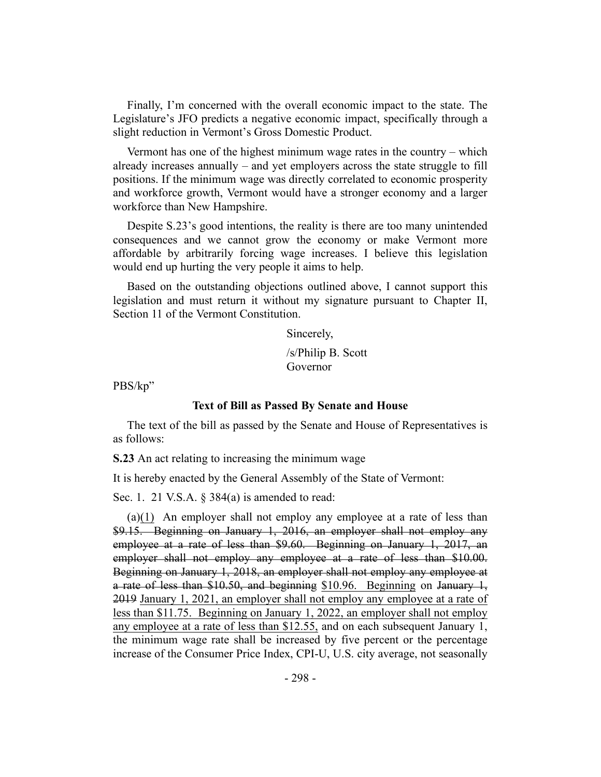Finally, I'm concerned with the overall economic impact to the state. The Legislature's JFO predicts a negative economic impact, specifically through a slight reduction in Vermont's Gross Domestic Product.

Vermont has one of the highest minimum wage rates in the country – which already increases annually – and yet employers across the state struggle to fill positions. If the minimum wage was directly correlated to economic prosperity and workforce growth, Vermont would have a stronger economy and a larger workforce than New Hampshire.

Despite S.23's good intentions, the reality is there are too many unintended consequences and we cannot grow the economy or make Vermont more affordable by arbitrarily forcing wage increases. I believe this legislation would end up hurting the very people it aims to help.

Based on the outstanding objections outlined above, I cannot support this legislation and must return it without my signature pursuant to Chapter II, Section 11 of the Vermont Constitution.

Sincerely,

/s/Philip B. Scott Governor

PBS/kp"

#### **Text of Bill as Passed By Senate and House**

The text of the bill as passed by the Senate and House of Representatives is as follows:

**S.23** An act relating to increasing the minimum wage

It is hereby enacted by the General Assembly of the State of Vermont:

Sec. 1. 21 V.S.A. § 384(a) is amended to read:

(a)(1) An employer shall not employ any employee at a rate of less than \$9.15. Beginning on January 1, 2016, an employer shall not employ any employee at a rate of less than \$9.60. Beginning on January 1, 2017, an employer shall not employ any employee at a rate of less than \$10.00. Beginning on January 1, 2018, an employer shall not employ any employee at a rate of less than  $$10.50$ , and beginning  $$10.96$ . Beginning on January 1, 2019 January 1, 2021, an employer shall not employ any employee at a rate of less than \$11.75. Beginning on January 1, 2022, an employer shall not employ any employee at a rate of less than \$12.55, and on each subsequent January 1, the minimum wage rate shall be increased by five percent or the percentage increase of the Consumer Price Index, CPI-U, U.S. city average, not seasonally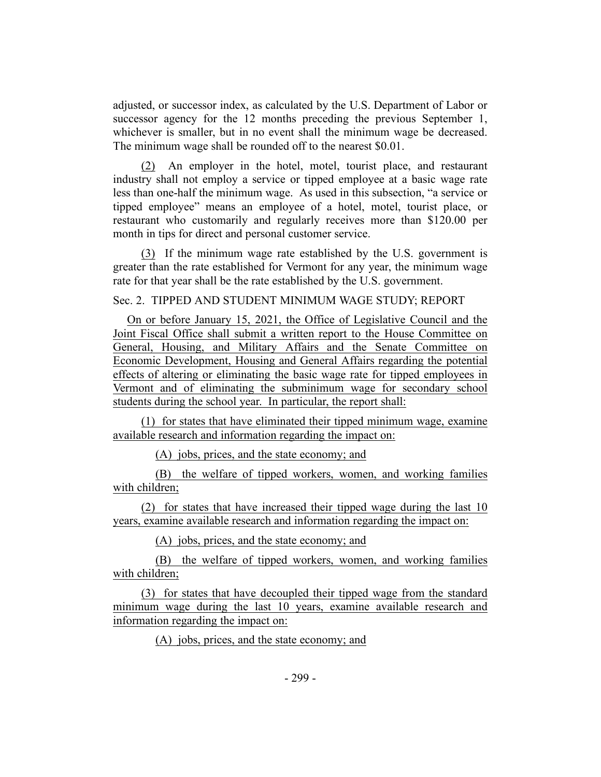adjusted, or successor index, as calculated by the U.S. Department of Labor or successor agency for the 12 months preceding the previous September 1, whichever is smaller, but in no event shall the minimum wage be decreased. The minimum wage shall be rounded off to the nearest \$0.01.

(2) An employer in the hotel, motel, tourist place, and restaurant industry shall not employ a service or tipped employee at a basic wage rate less than one-half the minimum wage. As used in this subsection, "a service or tipped employee" means an employee of a hotel, motel, tourist place, or restaurant who customarily and regularly receives more than \$120.00 per month in tips for direct and personal customer service.

(3) If the minimum wage rate established by the U.S. government is greater than the rate established for Vermont for any year, the minimum wage rate for that year shall be the rate established by the U.S. government.

Sec. 2. TIPPED AND STUDENT MINIMUM WAGE STUDY; REPORT

On or before January 15, 2021, the Office of Legislative Council and the Joint Fiscal Office shall submit a written report to the House Committee on General, Housing, and Military Affairs and the Senate Committee on Economic Development, Housing and General Affairs regarding the potential effects of altering or eliminating the basic wage rate for tipped employees in Vermont and of eliminating the subminimum wage for secondary school students during the school year. In particular, the report shall:

(1) for states that have eliminated their tipped minimum wage, examine available research and information regarding the impact on:

(A) jobs, prices, and the state economy; and

(B) the welfare of tipped workers, women, and working families with children;

(2) for states that have increased their tipped wage during the last 10 years, examine available research and information regarding the impact on:

(A) jobs, prices, and the state economy; and

(B) the welfare of tipped workers, women, and working families with children;

(3) for states that have decoupled their tipped wage from the standard minimum wage during the last 10 years, examine available research and information regarding the impact on:

(A) jobs, prices, and the state economy; and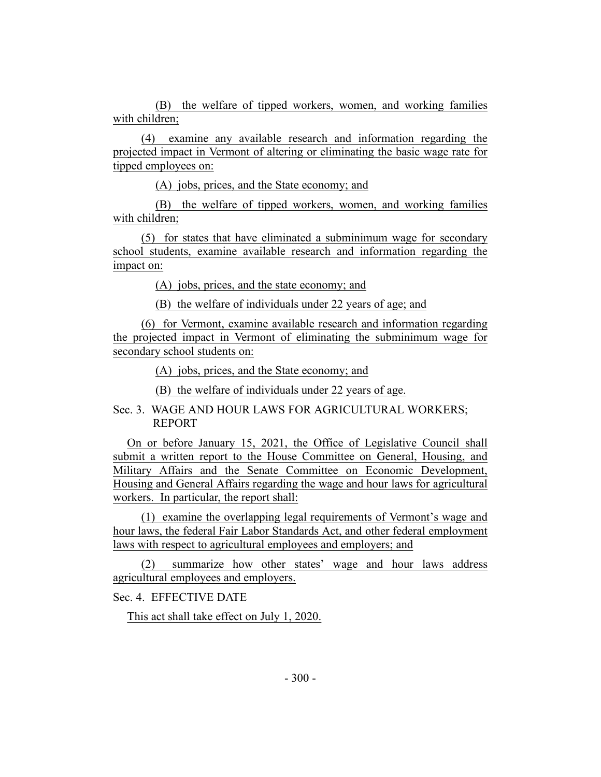(B) the welfare of tipped workers, women, and working families with children;

(4) examine any available research and information regarding the projected impact in Vermont of altering or eliminating the basic wage rate for tipped employees on:

(A) jobs, prices, and the State economy; and

(B) the welfare of tipped workers, women, and working families with children;

(5) for states that have eliminated a subminimum wage for secondary school students, examine available research and information regarding the impact on:

(A) jobs, prices, and the state economy; and

(B) the welfare of individuals under 22 years of age; and

(6) for Vermont, examine available research and information regarding the projected impact in Vermont of eliminating the subminimum wage for secondary school students on:

(A) jobs, prices, and the State economy; and

(B) the welfare of individuals under 22 years of age.

# Sec. 3. WAGE AND HOUR LAWS FOR AGRICULTURAL WORKERS; REPORT

On or before January 15, 2021, the Office of Legislative Council shall submit a written report to the House Committee on General, Housing, and Military Affairs and the Senate Committee on Economic Development, Housing and General Affairs regarding the wage and hour laws for agricultural workers. In particular, the report shall:

(1) examine the overlapping legal requirements of Vermont's wage and hour laws, the federal Fair Labor Standards Act, and other federal employment laws with respect to agricultural employees and employers; and

(2) summarize how other states' wage and hour laws address agricultural employees and employers.

Sec. 4. EFFECTIVE DATE

This act shall take effect on July 1, 2020.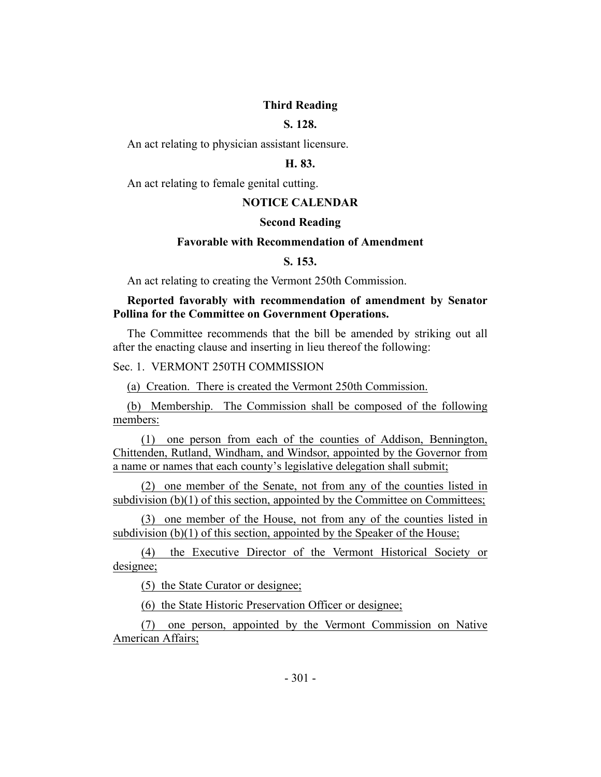## **Third Reading**

# **S. 128.**

An act relating to physician assistant licensure.

### **H. 83.**

An act relating to female genital cutting.

## **NOTICE CALENDAR**

#### **Second Reading**

## **Favorable with Recommendation of Amendment**

## **S. 153.**

An act relating to creating the Vermont 250th Commission.

## **Reported favorably with recommendation of amendment by Senator Pollina for the Committee on Government Operations.**

The Committee recommends that the bill be amended by striking out all after the enacting clause and inserting in lieu thereof the following:

Sec. 1. VERMONT 250TH COMMISSION

(a) Creation. There is created the Vermont 250th Commission.

(b) Membership. The Commission shall be composed of the following members:

(1) one person from each of the counties of Addison, Bennington, Chittenden, Rutland, Windham, and Windsor, appointed by the Governor from a name or names that each county's legislative delegation shall submit;

(2) one member of the Senate, not from any of the counties listed in subdivision  $(b)(1)$  of this section, appointed by the Committee on Committees;

(3) one member of the House, not from any of the counties listed in subdivision (b)(1) of this section, appointed by the Speaker of the House;

(4) the Executive Director of the Vermont Historical Society or designee;

(5) the State Curator or designee;

(6) the State Historic Preservation Officer or designee;

(7) one person, appointed by the Vermont Commission on Native American Affairs;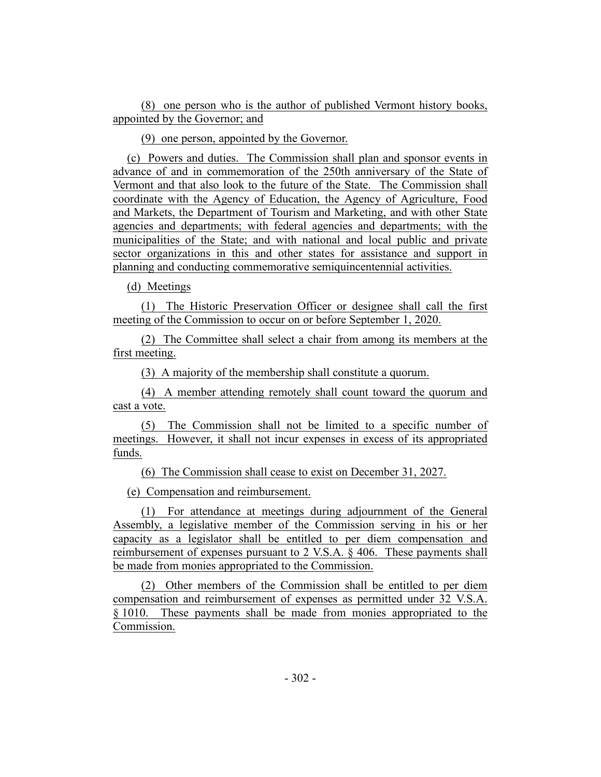(8) one person who is the author of published Vermont history books, appointed by the Governor; and

(9) one person, appointed by the Governor.

(c) Powers and duties. The Commission shall plan and sponsor events in advance of and in commemoration of the 250th anniversary of the State of Vermont and that also look to the future of the State. The Commission shall coordinate with the Agency of Education, the Agency of Agriculture, Food and Markets, the Department of Tourism and Marketing, and with other State agencies and departments; with federal agencies and departments; with the municipalities of the State; and with national and local public and private sector organizations in this and other states for assistance and support in planning and conducting commemorative semiquincentennial activities.

(d) Meetings

(1) The Historic Preservation Officer or designee shall call the first meeting of the Commission to occur on or before September 1, 2020.

(2) The Committee shall select a chair from among its members at the first meeting.

(3) A majority of the membership shall constitute a quorum.

(4) A member attending remotely shall count toward the quorum and cast a vote.

(5) The Commission shall not be limited to a specific number of meetings. However, it shall not incur expenses in excess of its appropriated funds.

(6) The Commission shall cease to exist on December 31, 2027.

(e) Compensation and reimbursement.

(1) For attendance at meetings during adjournment of the General Assembly, a legislative member of the Commission serving in his or her capacity as a legislator shall be entitled to per diem compensation and reimbursement of expenses pursuant to 2 V.S.A. § 406. These payments shall be made from monies appropriated to the Commission.

(2) Other members of the Commission shall be entitled to per diem compensation and reimbursement of expenses as permitted under 32 V.S.A. § 1010. These payments shall be made from monies appropriated to the Commission.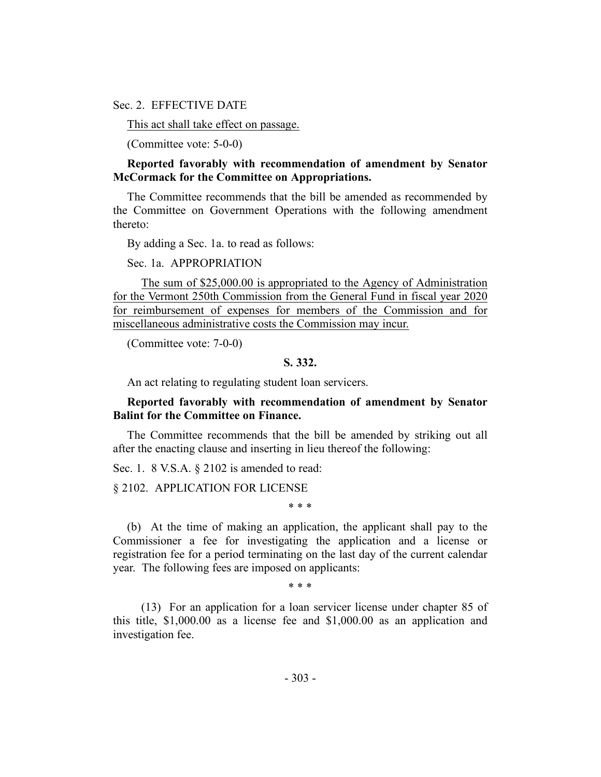Sec. 2. EFFECTIVE DATE

This act shall take effect on passage.

(Committee vote: 5-0-0)

**Reported favorably with recommendation of amendment by Senator McCormack for the Committee on Appropriations.**

The Committee recommends that the bill be amended as recommended by the Committee on Government Operations with the following amendment thereto:

By adding a Sec. 1a. to read as follows:

Sec. 1a. APPROPRIATION

The sum of \$25,000.00 is appropriated to the Agency of Administration for the Vermont 250th Commission from the General Fund in fiscal year 2020 for reimbursement of expenses for members of the Commission and for miscellaneous administrative costs the Commission may incur.

(Committee vote: 7-0-0)

## **S. 332.**

An act relating to regulating student loan servicers.

## **Reported favorably with recommendation of amendment by Senator Balint for the Committee on Finance.**

The Committee recommends that the bill be amended by striking out all after the enacting clause and inserting in lieu thereof the following:

Sec. 1. 8 V.S.A. § 2102 is amended to read:

§ 2102. APPLICATION FOR LICENSE

\* \* \*

(b) At the time of making an application, the applicant shall pay to the Commissioner a fee for investigating the application and a license or registration fee for a period terminating on the last day of the current calendar year. The following fees are imposed on applicants:

\* \* \*

(13) For an application for a loan servicer license under chapter 85 of this title, \$1,000.00 as a license fee and \$1,000.00 as an application and investigation fee.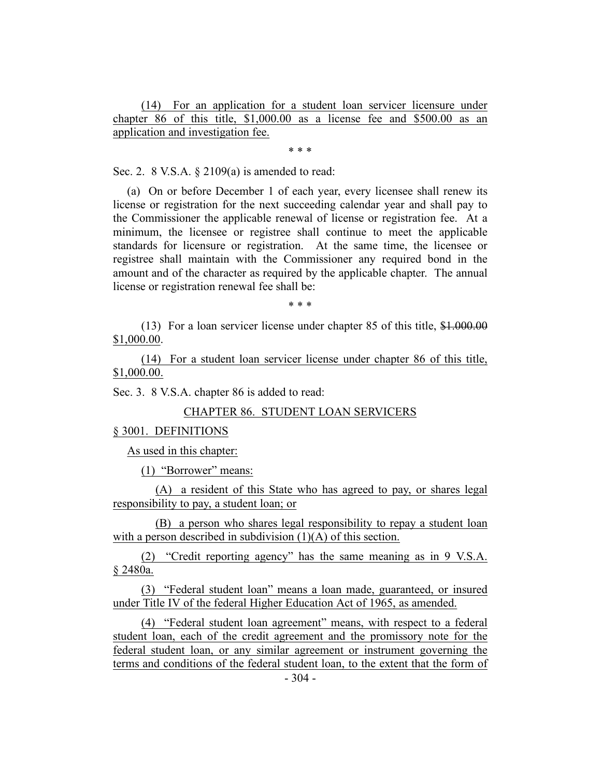(14) For an application for a student loan servicer licensure under chapter 86 of this title, \$1,000.00 as a license fee and \$500.00 as an application and investigation fee.

\* \* \*

Sec. 2. 8 V.S.A. § 2109(a) is amended to read:

(a) On or before December 1 of each year, every licensee shall renew its license or registration for the next succeeding calendar year and shall pay to the Commissioner the applicable renewal of license or registration fee. At a minimum, the licensee or registree shall continue to meet the applicable standards for licensure or registration. At the same time, the licensee or registree shall maintain with the Commissioner any required bond in the amount and of the character as required by the applicable chapter. The annual license or registration renewal fee shall be:

\* \* \*

(13) For a loan servicer license under chapter 85 of this title, \$1.000.00 \$1,000.00.

(14) For a student loan servicer license under chapter 86 of this title, \$1,000.00.

Sec. 3. 8 V.S.A. chapter 86 is added to read:

# CHAPTER 86. STUDENT LOAN SERVICERS

#### § 3001. DEFINITIONS

As used in this chapter:

(1) "Borrower" means:

(A) a resident of this State who has agreed to pay, or shares legal responsibility to pay, a student loan; or

(B) a person who shares legal responsibility to repay a student loan with a person described in subdivision (1)(A) of this section.

(2) "Credit reporting agency" has the same meaning as in 9 V.S.A. § 2480a.

(3) "Federal student loan" means a loan made, guaranteed, or insured under Title IV of the federal Higher Education Act of 1965, as amended.

(4) "Federal student loan agreement" means, with respect to a federal student loan, each of the credit agreement and the promissory note for the federal student loan, or any similar agreement or instrument governing the terms and conditions of the federal student loan, to the extent that the form of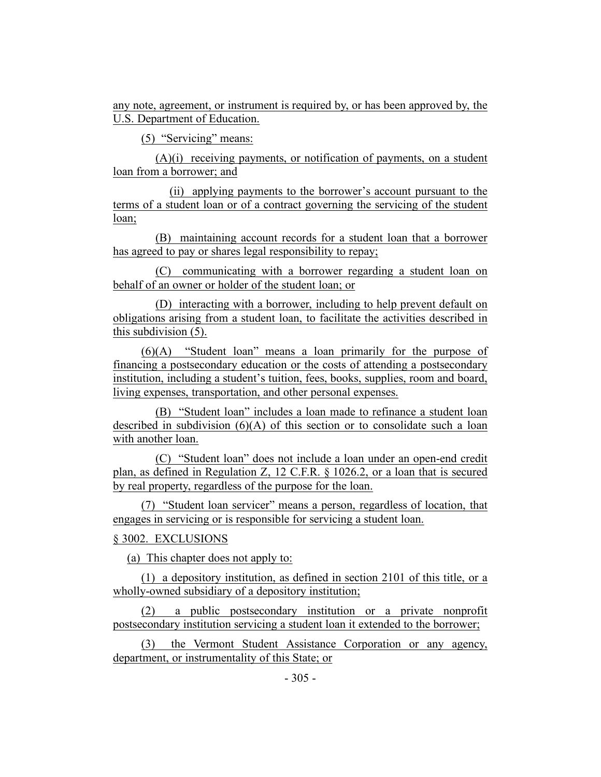any note, agreement, or instrument is required by, or has been approved by, the U.S. Department of Education.

(5) "Servicing" means:

(A)(i) receiving payments, or notification of payments, on a student loan from a borrower; and

(ii) applying payments to the borrower's account pursuant to the terms of a student loan or of a contract governing the servicing of the student loan;

(B) maintaining account records for a student loan that a borrower has agreed to pay or shares legal responsibility to repay;

(C) communicating with a borrower regarding a student loan on behalf of an owner or holder of the student loan; or

(D) interacting with a borrower, including to help prevent default on obligations arising from a student loan, to facilitate the activities described in this subdivision (5).

(6)(A) "Student loan" means a loan primarily for the purpose of financing a postsecondary education or the costs of attending a postsecondary institution, including a student's tuition, fees, books, supplies, room and board, living expenses, transportation, and other personal expenses.

(B) "Student loan" includes a loan made to refinance a student loan described in subdivision  $(6)(A)$  of this section or to consolidate such a loan with another loan.

(C) "Student loan" does not include a loan under an open-end credit plan, as defined in Regulation Z, 12 C.F.R. § 1026.2, or a loan that is secured by real property, regardless of the purpose for the loan.

(7) "Student loan servicer" means a person, regardless of location, that engages in servicing or is responsible for servicing a student loan.

## § 3002. EXCLUSIONS

(a) This chapter does not apply to:

(1) a depository institution, as defined in section 2101 of this title, or a wholly-owned subsidiary of a depository institution;

(2) a public postsecondary institution or a private nonprofit postsecondary institution servicing a student loan it extended to the borrower;

(3) the Vermont Student Assistance Corporation or any agency, department, or instrumentality of this State; or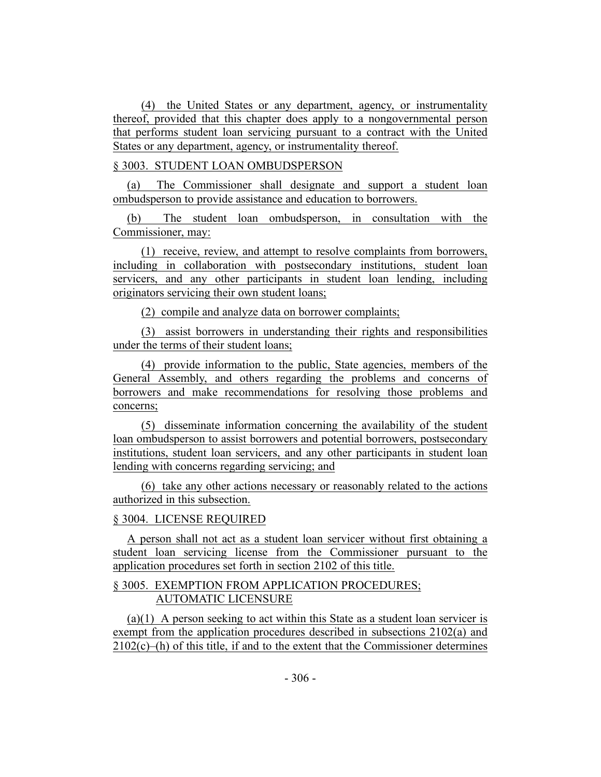(4) the United States or any department, agency, or instrumentality thereof, provided that this chapter does apply to a nongovernmental person that performs student loan servicing pursuant to a contract with the United States or any department, agency, or instrumentality thereof.

## § 3003. STUDENT LOAN OMBUDSPERSON

(a) The Commissioner shall designate and support a student loan ombudsperson to provide assistance and education to borrowers.

(b) The student loan ombudsperson, in consultation with the Commissioner, may:

(1) receive, review, and attempt to resolve complaints from borrowers, including in collaboration with postsecondary institutions, student loan servicers, and any other participants in student loan lending, including originators servicing their own student loans;

(2) compile and analyze data on borrower complaints;

(3) assist borrowers in understanding their rights and responsibilities under the terms of their student loans;

(4) provide information to the public, State agencies, members of the General Assembly, and others regarding the problems and concerns of borrowers and make recommendations for resolving those problems and concerns;

(5) disseminate information concerning the availability of the student loan ombudsperson to assist borrowers and potential borrowers, postsecondary institutions, student loan servicers, and any other participants in student loan lending with concerns regarding servicing; and

(6) take any other actions necessary or reasonably related to the actions authorized in this subsection.

## § 3004. LICENSE REQUIRED

A person shall not act as a student loan servicer without first obtaining a student loan servicing license from the Commissioner pursuant to the application procedures set forth in section 2102 of this title.

## § 3005. EXEMPTION FROM APPLICATION PROCEDURES; AUTOMATIC LICENSURE

(a)(1) A person seeking to act within this State as a student loan servicer is exempt from the application procedures described in subsections 2102(a) and  $2102(c)$ –(h) of this title, if and to the extent that the Commissioner determines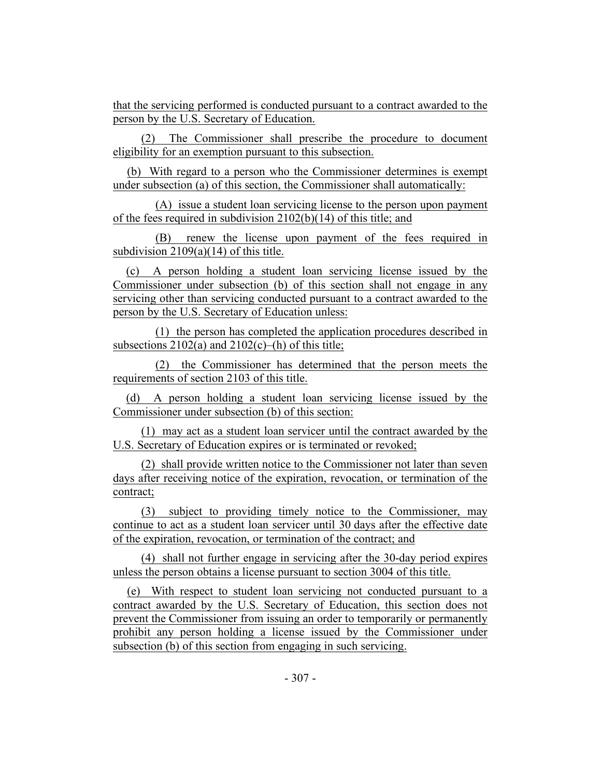that the servicing performed is conducted pursuant to a contract awarded to the person by the U.S. Secretary of Education.

(2) The Commissioner shall prescribe the procedure to document eligibility for an exemption pursuant to this subsection.

(b) With regard to a person who the Commissioner determines is exempt under subsection (a) of this section, the Commissioner shall automatically:

(A) issue a student loan servicing license to the person upon payment of the fees required in subdivision 2102(b)(14) of this title; and

(B) renew the license upon payment of the fees required in subdivision  $2109(a)(14)$  of this title.

(c) A person holding a student loan servicing license issued by the Commissioner under subsection (b) of this section shall not engage in any servicing other than servicing conducted pursuant to a contract awarded to the person by the U.S. Secretary of Education unless:

(1) the person has completed the application procedures described in subsections  $2102(a)$  and  $2102(c)$ –(h) of this title;

(2) the Commissioner has determined that the person meets the requirements of section 2103 of this title.

(d) A person holding a student loan servicing license issued by the Commissioner under subsection (b) of this section:

(1) may act as a student loan servicer until the contract awarded by the U.S. Secretary of Education expires or is terminated or revoked;

(2) shall provide written notice to the Commissioner not later than seven days after receiving notice of the expiration, revocation, or termination of the contract;

(3) subject to providing timely notice to the Commissioner, may continue to act as a student loan servicer until 30 days after the effective date of the expiration, revocation, or termination of the contract; and

(4) shall not further engage in servicing after the 30-day period expires unless the person obtains a license pursuant to section 3004 of this title.

(e) With respect to student loan servicing not conducted pursuant to a contract awarded by the U.S. Secretary of Education, this section does not prevent the Commissioner from issuing an order to temporarily or permanently prohibit any person holding a license issued by the Commissioner under subsection (b) of this section from engaging in such servicing.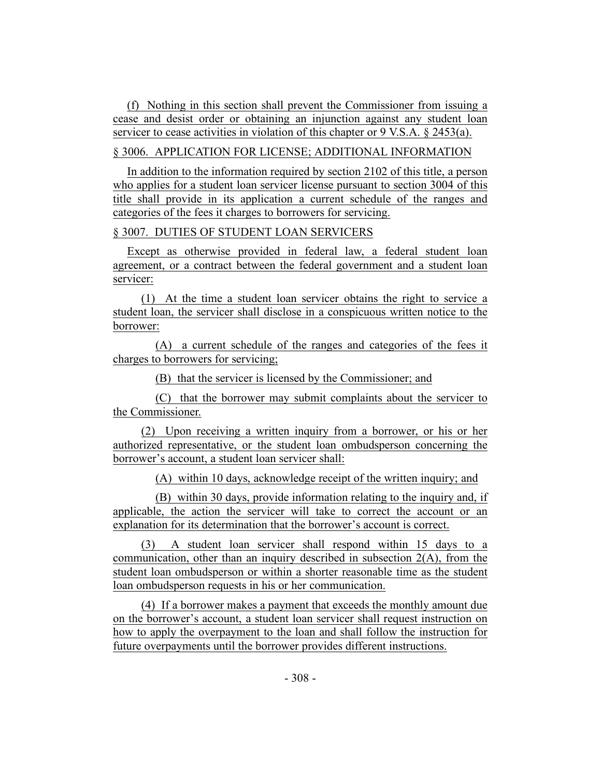(f) Nothing in this section shall prevent the Commissioner from issuing a cease and desist order or obtaining an injunction against any student loan servicer to cease activities in violation of this chapter or 9 V.S.A. § 2453(a).

## § 3006. APPLICATION FOR LICENSE; ADDITIONAL INFORMATION

In addition to the information required by section 2102 of this title, a person who applies for a student loan servicer license pursuant to section 3004 of this title shall provide in its application a current schedule of the ranges and categories of the fees it charges to borrowers for servicing.

# § 3007. DUTIES OF STUDENT LOAN SERVICERS

Except as otherwise provided in federal law, a federal student loan agreement, or a contract between the federal government and a student loan servicer:

(1) At the time a student loan servicer obtains the right to service a student loan, the servicer shall disclose in a conspicuous written notice to the borrower:

(A) a current schedule of the ranges and categories of the fees it charges to borrowers for servicing;

(B) that the servicer is licensed by the Commissioner; and

(C) that the borrower may submit complaints about the servicer to the Commissioner.

(2) Upon receiving a written inquiry from a borrower, or his or her authorized representative, or the student loan ombudsperson concerning the borrower's account, a student loan servicer shall:

(A) within 10 days, acknowledge receipt of the written inquiry; and

(B) within 30 days, provide information relating to the inquiry and, if applicable, the action the servicer will take to correct the account or an explanation for its determination that the borrower's account is correct.

(3) A student loan servicer shall respond within 15 days to a communication, other than an inquiry described in subsection  $2(A)$ , from the student loan ombudsperson or within a shorter reasonable time as the student loan ombudsperson requests in his or her communication.

(4) If a borrower makes a payment that exceeds the monthly amount due on the borrower's account, a student loan servicer shall request instruction on how to apply the overpayment to the loan and shall follow the instruction for future overpayments until the borrower provides different instructions.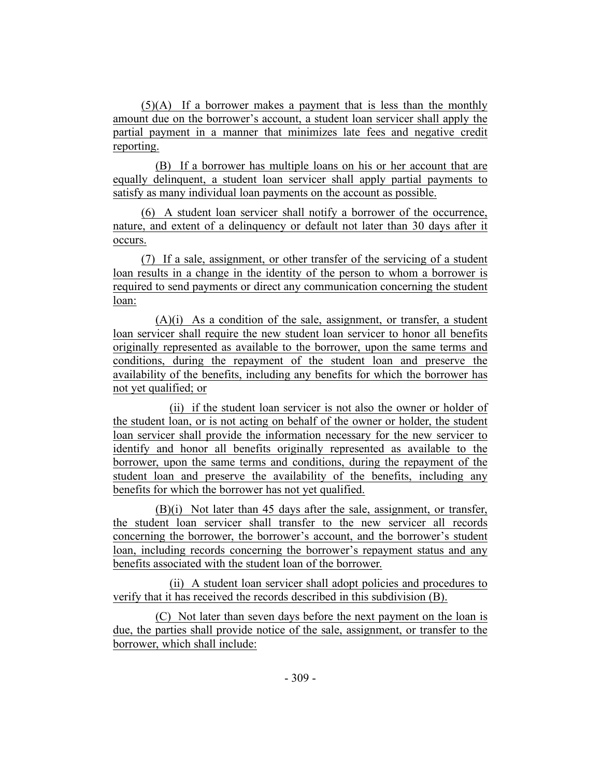(5)(A) If a borrower makes a payment that is less than the monthly amount due on the borrower's account, a student loan servicer shall apply the partial payment in a manner that minimizes late fees and negative credit reporting.

(B) If a borrower has multiple loans on his or her account that are equally delinquent, a student loan servicer shall apply partial payments to satisfy as many individual loan payments on the account as possible.

(6) A student loan servicer shall notify a borrower of the occurrence, nature, and extent of a delinquency or default not later than 30 days after it occurs.

(7) If a sale, assignment, or other transfer of the servicing of a student loan results in a change in the identity of the person to whom a borrower is required to send payments or direct any communication concerning the student loan:

 $(A)(i)$  As a condition of the sale, assignment, or transfer, a student loan servicer shall require the new student loan servicer to honor all benefits originally represented as available to the borrower, upon the same terms and conditions, during the repayment of the student loan and preserve the availability of the benefits, including any benefits for which the borrower has not yet qualified; or

(ii) if the student loan servicer is not also the owner or holder of the student loan, or is not acting on behalf of the owner or holder, the student loan servicer shall provide the information necessary for the new servicer to identify and honor all benefits originally represented as available to the borrower, upon the same terms and conditions, during the repayment of the student loan and preserve the availability of the benefits, including any benefits for which the borrower has not yet qualified.

(B)(i) Not later than 45 days after the sale, assignment, or transfer, the student loan servicer shall transfer to the new servicer all records concerning the borrower, the borrower's account, and the borrower's student loan, including records concerning the borrower's repayment status and any benefits associated with the student loan of the borrower.

(ii) A student loan servicer shall adopt policies and procedures to verify that it has received the records described in this subdivision (B).

(C) Not later than seven days before the next payment on the loan is due, the parties shall provide notice of the sale, assignment, or transfer to the borrower, which shall include: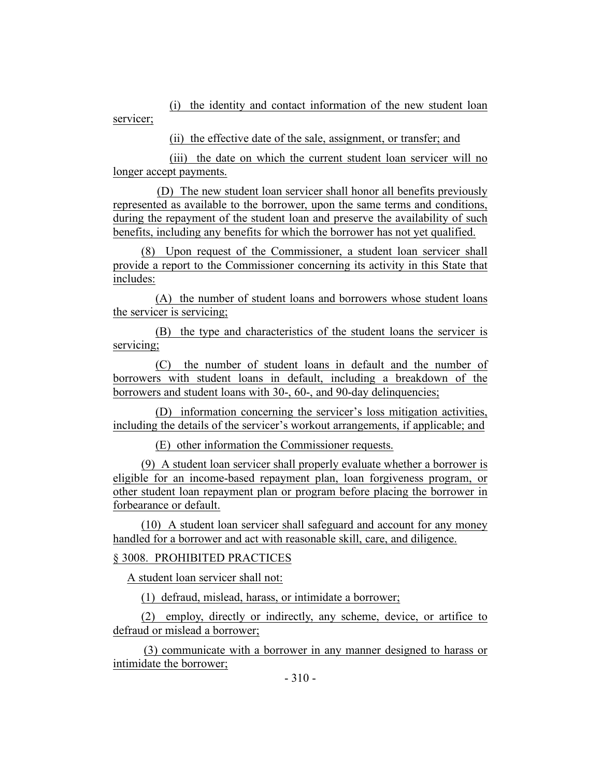(i) the identity and contact information of the new student loan servicer;

(ii) the effective date of the sale, assignment, or transfer; and

(iii) the date on which the current student loan servicer will no longer accept payments.

(D) The new student loan servicer shall honor all benefits previously represented as available to the borrower, upon the same terms and conditions, during the repayment of the student loan and preserve the availability of such benefits, including any benefits for which the borrower has not yet qualified.

(8) Upon request of the Commissioner, a student loan servicer shall provide a report to the Commissioner concerning its activity in this State that includes:

(A) the number of student loans and borrowers whose student loans the servicer is servicing;

(B) the type and characteristics of the student loans the servicer is servicing;

(C) the number of student loans in default and the number of borrowers with student loans in default, including a breakdown of the borrowers and student loans with 30-, 60-, and 90-day delinquencies;

(D) information concerning the servicer's loss mitigation activities, including the details of the servicer's workout arrangements, if applicable; and

(E) other information the Commissioner requests.

(9) A student loan servicer shall properly evaluate whether a borrower is eligible for an income-based repayment plan, loan forgiveness program, or other student loan repayment plan or program before placing the borrower in forbearance or default.

(10) A student loan servicer shall safeguard and account for any money handled for a borrower and act with reasonable skill, care, and diligence.

# § 3008. PROHIBITED PRACTICES

A student loan servicer shall not:

(1) defraud, mislead, harass, or intimidate a borrower;

(2) employ, directly or indirectly, any scheme, device, or artifice to defraud or mislead a borrower;

(3) communicate with a borrower in any manner designed to harass or intimidate the borrower;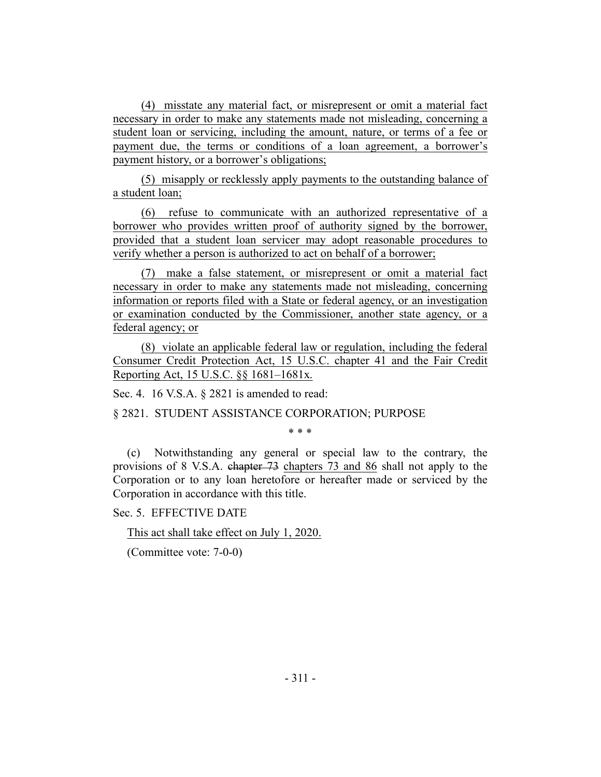(4) misstate any material fact, or misrepresent or omit a material fact necessary in order to make any statements made not misleading, concerning a student loan or servicing, including the amount, nature, or terms of a fee or payment due, the terms or conditions of a loan agreement, a borrower's payment history, or a borrower's obligations;

(5) misapply or recklessly apply payments to the outstanding balance of a student loan;

(6) refuse to communicate with an authorized representative of a borrower who provides written proof of authority signed by the borrower, provided that a student loan servicer may adopt reasonable procedures to verify whether a person is authorized to act on behalf of a borrower;

(7) make a false statement, or misrepresent or omit a material fact necessary in order to make any statements made not misleading, concerning information or reports filed with a State or federal agency, or an investigation or examination conducted by the Commissioner, another state agency, or a federal agency; or

(8) violate an applicable federal law or regulation, including the federal Consumer Credit Protection Act, 15 U.S.C. chapter 41 and the Fair Credit Reporting Act, 15 U.S.C. §§ 1681–1681x.

Sec. 4. 16 V.S.A. § 2821 is amended to read:

§ 2821. STUDENT ASSISTANCE CORPORATION; PURPOSE

\* \* \*

(c) Notwithstanding any general or special law to the contrary, the provisions of 8 V.S.A. chapter 73 chapters 73 and 86 shall not apply to the Corporation or to any loan heretofore or hereafter made or serviced by the Corporation in accordance with this title.

Sec. 5. EFFECTIVE DATE

This act shall take effect on July 1, 2020.

(Committee vote: 7-0-0)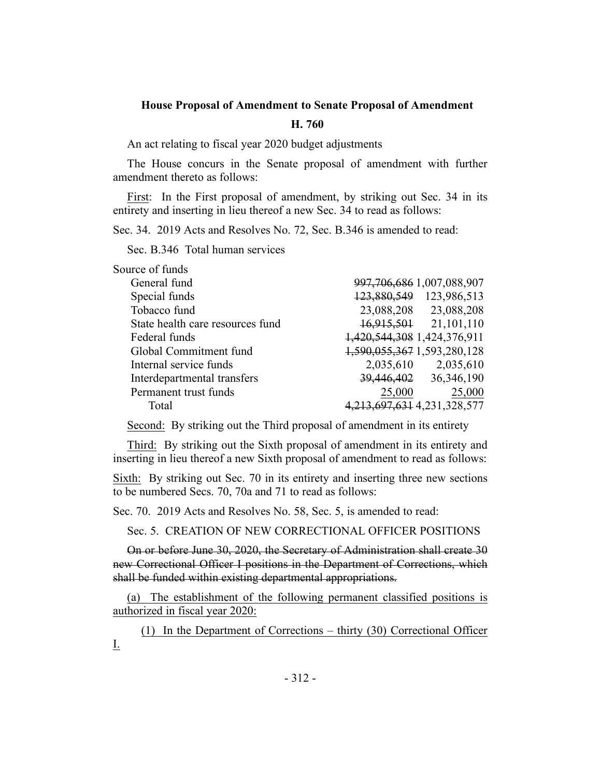### **House Proposal of Amendment to Senate Proposal of Amendment**

#### **H. 760**

An act relating to fiscal year 2020 budget adjustments

The House concurs in the Senate proposal of amendment with further amendment thereto as follows:

First: In the First proposal of amendment, by striking out Sec. 34 in its entirety and inserting in lieu thereof a new Sec. 34 to read as follows:

Sec. 34. 2019 Acts and Resolves No. 72, Sec. B.346 is amended to read:

Sec. B.346 Total human services

| Source of funds                  |                                   |                                |
|----------------------------------|-----------------------------------|--------------------------------|
| General fund                     |                                   | 997, 706, 686 1, 007, 088, 907 |
| Special funds                    |                                   | 123,880,549 123,986,513        |
| Tobacco fund                     |                                   | 23,088,208 23,088,208          |
| State health care resources fund |                                   | 16,915,501 21,101,110          |
| Federal funds                    | 1,420,544,308 1,424,376,911       |                                |
| Global Commitment fund           | 1,590,055,367 1,593,280,128       |                                |
| Internal service funds           | 2,035,610                         | 2,035,610                      |
| Interdepartmental transfers      |                                   | 39,446,402 36,346,190          |
| Permanent trust funds            | 25,000                            | 25,000                         |
| Total                            | 4, 213, 697, 631 4, 231, 328, 577 |                                |

Second: By striking out the Third proposal of amendment in its entirety

Third: By striking out the Sixth proposal of amendment in its entirety and inserting in lieu thereof a new Sixth proposal of amendment to read as follows:

Sixth: By striking out Sec. 70 in its entirety and inserting three new sections to be numbered Secs. 70, 70a and 71 to read as follows:

Sec. 70. 2019 Acts and Resolves No. 58, Sec. 5, is amended to read:

Sec. 5. CREATION OF NEW CORRECTIONAL OFFICER POSITIONS

On or before June 30, 2020, the Secretary of Administration shall create 30 new Correctional Officer I positions in the Department of Corrections, which shall be funded within existing departmental appropriations.

(a) The establishment of the following permanent classified positions is authorized in fiscal year 2020:

(1) In the Department of Corrections – thirty (30) Correctional Officer I.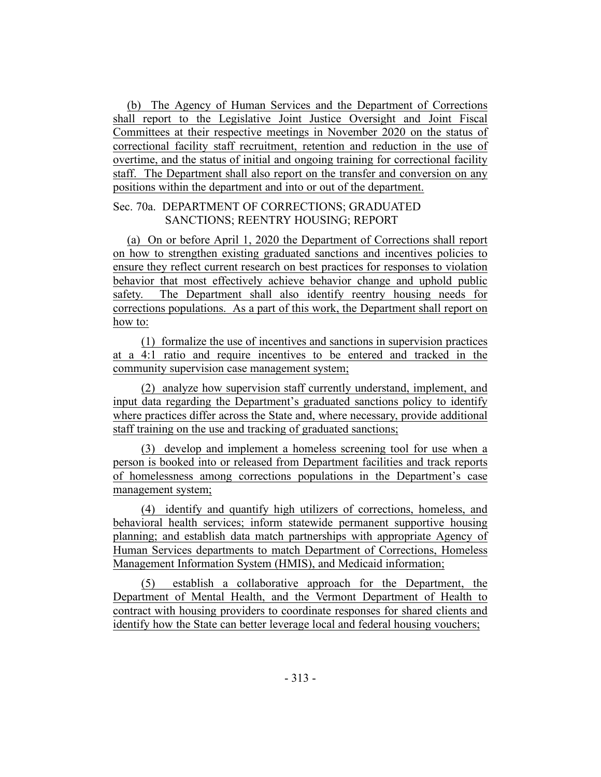(b) The Agency of Human Services and the Department of Corrections shall report to the Legislative Joint Justice Oversight and Joint Fiscal Committees at their respective meetings in November 2020 on the status of correctional facility staff recruitment, retention and reduction in the use of overtime, and the status of initial and ongoing training for correctional facility staff. The Department shall also report on the transfer and conversion on any positions within the department and into or out of the department.

## Sec. 70a. DEPARTMENT OF CORRECTIONS; GRADUATED SANCTIONS; REENTRY HOUSING; REPORT

(a) On or before April 1, 2020 the Department of Corrections shall report on how to strengthen existing graduated sanctions and incentives policies to ensure they reflect current research on best practices for responses to violation behavior that most effectively achieve behavior change and uphold public safety. The Department shall also identify reentry housing needs for corrections populations. As a part of this work, the Department shall report on how to:

(1) formalize the use of incentives and sanctions in supervision practices at a 4:1 ratio and require incentives to be entered and tracked in the community supervision case management system;

(2) analyze how supervision staff currently understand, implement, and input data regarding the Department's graduated sanctions policy to identify where practices differ across the State and, where necessary, provide additional staff training on the use and tracking of graduated sanctions;

(3) develop and implement a homeless screening tool for use when a person is booked into or released from Department facilities and track reports of homelessness among corrections populations in the Department's case management system;

(4) identify and quantify high utilizers of corrections, homeless, and behavioral health services; inform statewide permanent supportive housing planning; and establish data match partnerships with appropriate Agency of Human Services departments to match Department of Corrections, Homeless Management Information System (HMIS), and Medicaid information;

(5) establish a collaborative approach for the Department, the Department of Mental Health, and the Vermont Department of Health to contract with housing providers to coordinate responses for shared clients and identify how the State can better leverage local and federal housing vouchers;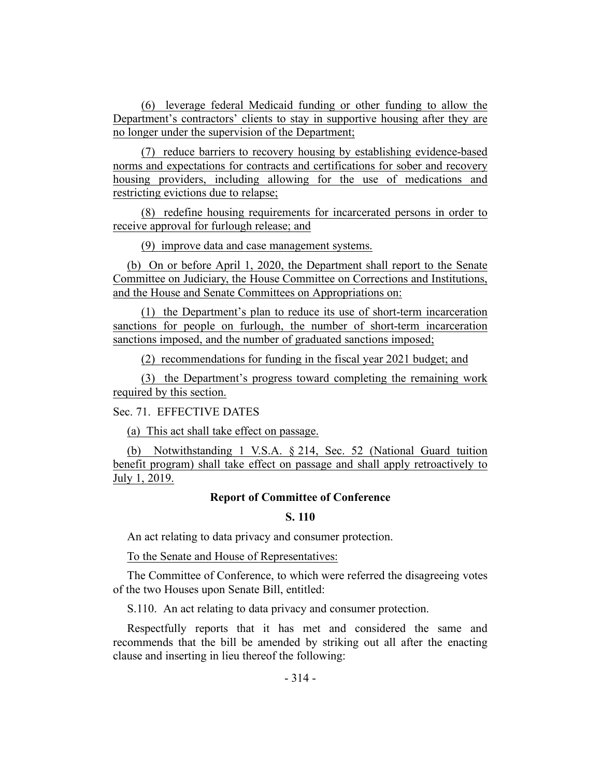(6) leverage federal Medicaid funding or other funding to allow the Department's contractors' clients to stay in supportive housing after they are no longer under the supervision of the Department;

(7) reduce barriers to recovery housing by establishing evidence-based norms and expectations for contracts and certifications for sober and recovery housing providers, including allowing for the use of medications and restricting evictions due to relapse;

(8) redefine housing requirements for incarcerated persons in order to receive approval for furlough release; and

(9) improve data and case management systems.

(b) On or before April 1, 2020, the Department shall report to the Senate Committee on Judiciary, the House Committee on Corrections and Institutions, and the House and Senate Committees on Appropriations on:

(1) the Department's plan to reduce its use of short-term incarceration sanctions for people on furlough, the number of short-term incarceration sanctions imposed, and the number of graduated sanctions imposed;

(2) recommendations for funding in the fiscal year 2021 budget; and

(3) the Department's progress toward completing the remaining work required by this section.

Sec. 71. EFFECTIVE DATES

(a) This act shall take effect on passage.

(b) Notwithstanding 1 V.S.A. § 214, Sec. 52 (National Guard tuition benefit program) shall take effect on passage and shall apply retroactively to July 1, 2019.

## **Report of Committee of Conference**

## **S. 110**

An act relating to data privacy and consumer protection.

To the Senate and House of Representatives:

The Committee of Conference, to which were referred the disagreeing votes of the two Houses upon Senate Bill, entitled:

S.110. An act relating to data privacy and consumer protection.

Respectfully reports that it has met and considered the same and recommends that the bill be amended by striking out all after the enacting clause and inserting in lieu thereof the following: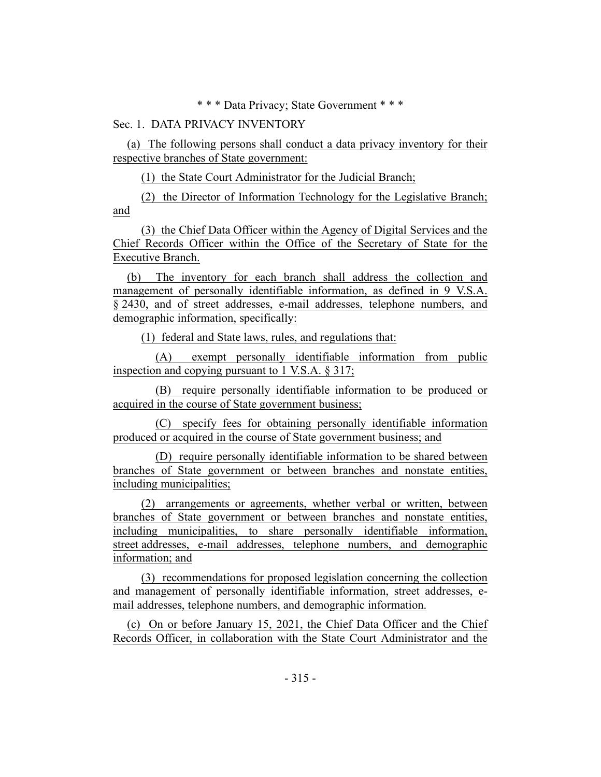\* \* \* Data Privacy; State Government \* \* \*

#### Sec. 1. DATA PRIVACY INVENTORY

(a) The following persons shall conduct a data privacy inventory for their respective branches of State government:

(1) the State Court Administrator for the Judicial Branch;

(2) the Director of Information Technology for the Legislative Branch; and

(3) the Chief Data Officer within the Agency of Digital Services and the Chief Records Officer within the Office of the Secretary of State for the Executive Branch.

(b) The inventory for each branch shall address the collection and management of personally identifiable information, as defined in 9 V.S.A. § 2430, and of street addresses, e-mail addresses, telephone numbers, and demographic information, specifically:

(1) federal and State laws, rules, and regulations that:

(A) exempt personally identifiable information from public inspection and copying pursuant to 1 V.S.A. § 317;

(B) require personally identifiable information to be produced or acquired in the course of State government business;

(C) specify fees for obtaining personally identifiable information produced or acquired in the course of State government business; and

(D) require personally identifiable information to be shared between branches of State government or between branches and nonstate entities, including municipalities;

(2) arrangements or agreements, whether verbal or written, between branches of State government or between branches and nonstate entities, including municipalities, to share personally identifiable information, street addresses, e-mail addresses, telephone numbers, and demographic information; and

(3) recommendations for proposed legislation concerning the collection and management of personally identifiable information, street addresses, email addresses, telephone numbers, and demographic information.

(c) On or before January 15, 2021, the Chief Data Officer and the Chief Records Officer, in collaboration with the State Court Administrator and the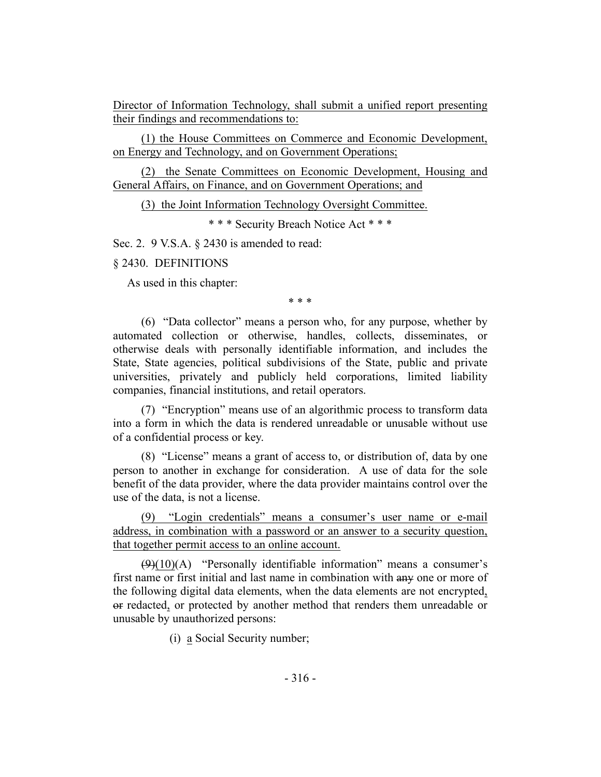Director of Information Technology, shall submit a unified report presenting their findings and recommendations to:

(1) the House Committees on Commerce and Economic Development, on Energy and Technology, and on Government Operations;

(2) the Senate Committees on Economic Development, Housing and General Affairs, on Finance, and on Government Operations; and

(3) the Joint Information Technology Oversight Committee.

\* \* \* Security Breach Notice Act \* \* \*

Sec. 2. 9 V.S.A. § 2430 is amended to read:

§ 2430. DEFINITIONS

As used in this chapter:

\* \* \*

(6) "Data collector" means a person who, for any purpose, whether by automated collection or otherwise, handles, collects, disseminates, or otherwise deals with personally identifiable information, and includes the State, State agencies, political subdivisions of the State, public and private universities, privately and publicly held corporations, limited liability companies, financial institutions, and retail operators.

(7) "Encryption" means use of an algorithmic process to transform data into a form in which the data is rendered unreadable or unusable without use of a confidential process or key.

(8) "License" means a grant of access to, or distribution of, data by one person to another in exchange for consideration. A use of data for the sole benefit of the data provider, where the data provider maintains control over the use of the data, is not a license.

(9) "Login credentials" means a consumer's user name or e-mail address, in combination with a password or an answer to a security question, that together permit access to an online account.

 $(9)(10)(A)$  "Personally identifiable information" means a consumer's first name or first initial and last name in combination with any one or more of the following digital data elements, when the data elements are not encrypted, or redacted, or protected by another method that renders them unreadable or unusable by unauthorized persons:

(i) a Social Security number;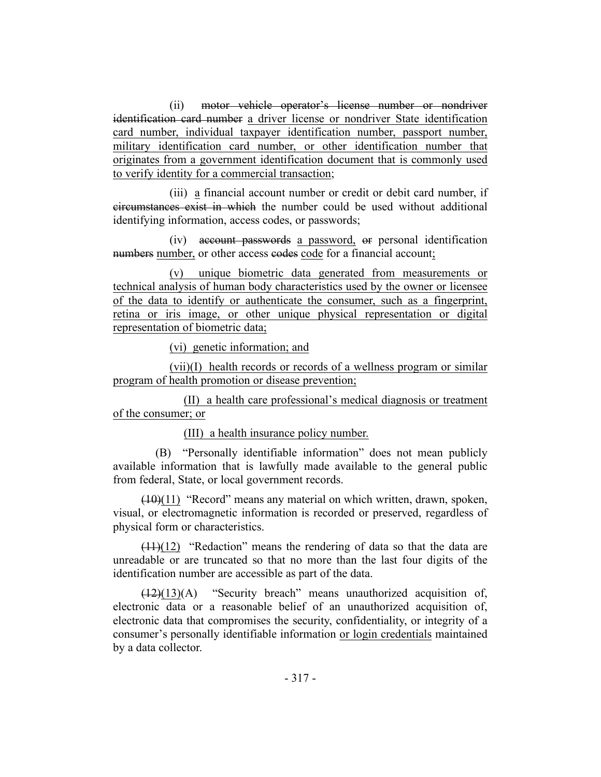(ii) motor vehicle operator's license number or nondriver identification card number a driver license or nondriver State identification card number, individual taxpayer identification number, passport number, military identification card number, or other identification number that originates from a government identification document that is commonly used to verify identity for a commercial transaction;

(iii) a financial account number or credit or debit card number, if circumstances exist in which the number could be used without additional identifying information, access codes, or passwords;

(iv) account passwords a password, or personal identification numbers number, or other access codes code for a financial account;

(v) unique biometric data generated from measurements or technical analysis of human body characteristics used by the owner or licensee of the data to identify or authenticate the consumer, such as a fingerprint, retina or iris image, or other unique physical representation or digital representation of biometric data;

(vi) genetic information; and

(vii)(I) health records or records of a wellness program or similar program of health promotion or disease prevention;

(II) a health care professional's medical diagnosis or treatment of the consumer; or

## (III) a health insurance policy number.

(B) "Personally identifiable information" does not mean publicly available information that is lawfully made available to the general public from federal, State, or local government records.

(10)(11) "Record" means any material on which written, drawn, spoken, visual, or electromagnetic information is recorded or preserved, regardless of physical form or characteristics.

 $(11)(12)$  "Redaction" means the rendering of data so that the data are unreadable or are truncated so that no more than the last four digits of the identification number are accessible as part of the data.

 $(12)(13)(A)$  "Security breach" means unauthorized acquisition of, electronic data or a reasonable belief of an unauthorized acquisition of, electronic data that compromises the security, confidentiality, or integrity of a consumer's personally identifiable information or login credentials maintained by a data collector.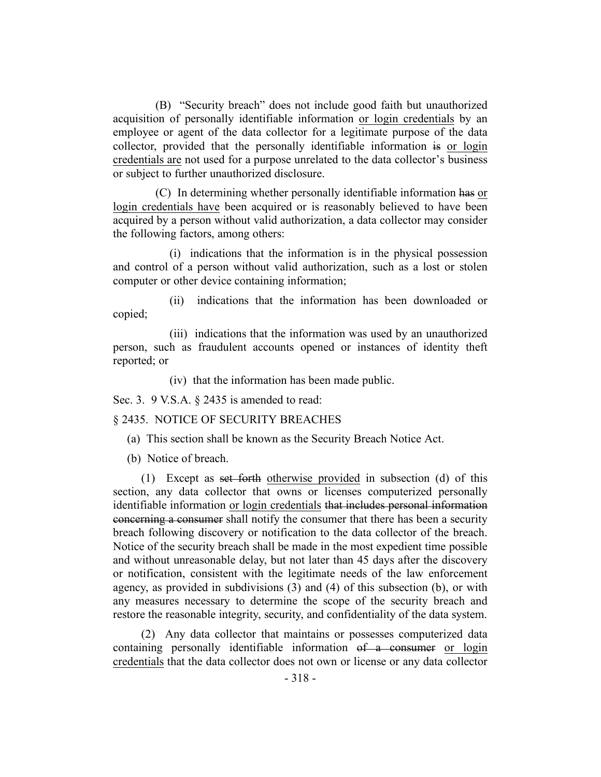(B) "Security breach" does not include good faith but unauthorized acquisition of personally identifiable information or login credentials by an employee or agent of the data collector for a legitimate purpose of the data collector, provided that the personally identifiable information is or login credentials are not used for a purpose unrelated to the data collector's business or subject to further unauthorized disclosure.

(C) In determining whether personally identifiable information has or login credentials have been acquired or is reasonably believed to have been acquired by a person without valid authorization, a data collector may consider the following factors, among others:

(i) indications that the information is in the physical possession and control of a person without valid authorization, such as a lost or stolen computer or other device containing information;

(ii) indications that the information has been downloaded or copied;

(iii) indications that the information was used by an unauthorized person, such as fraudulent accounts opened or instances of identity theft reported; or

(iv) that the information has been made public.

Sec. 3. 9 V.S.A. § 2435 is amended to read:

#### § 2435. NOTICE OF SECURITY BREACHES

- (a) This section shall be known as the Security Breach Notice Act.
- (b) Notice of breach.

(1) Except as set forth otherwise provided in subsection (d) of this section, any data collector that owns or licenses computerized personally identifiable information or login credentials that includes personal information concerning a consumer shall notify the consumer that there has been a security breach following discovery or notification to the data collector of the breach. Notice of the security breach shall be made in the most expedient time possible and without unreasonable delay, but not later than 45 days after the discovery or notification, consistent with the legitimate needs of the law enforcement agency, as provided in subdivisions (3) and (4) of this subsection (b), or with any measures necessary to determine the scope of the security breach and restore the reasonable integrity, security, and confidentiality of the data system.

(2) Any data collector that maintains or possesses computerized data containing personally identifiable information of a consumer or login credentials that the data collector does not own or license or any data collector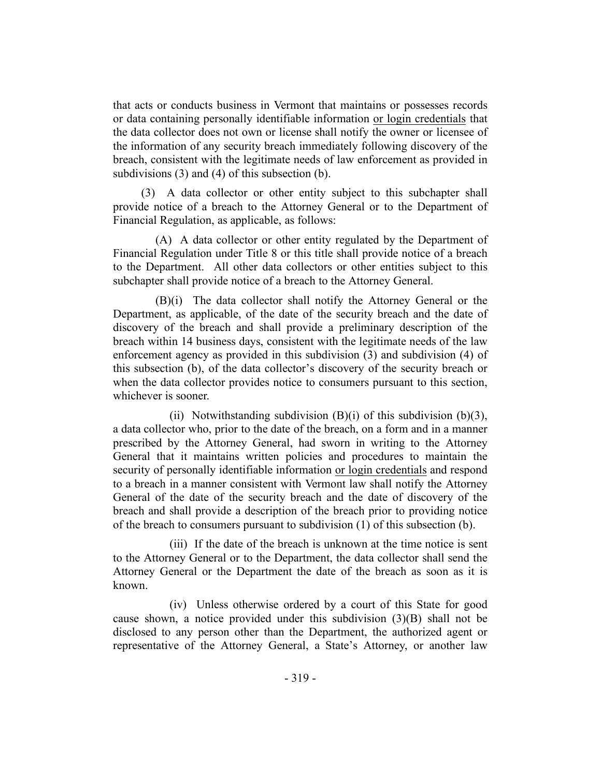that acts or conducts business in Vermont that maintains or possesses records or data containing personally identifiable information or login credentials that the data collector does not own or license shall notify the owner or licensee of the information of any security breach immediately following discovery of the breach, consistent with the legitimate needs of law enforcement as provided in subdivisions (3) and (4) of this subsection (b).

(3) A data collector or other entity subject to this subchapter shall provide notice of a breach to the Attorney General or to the Department of Financial Regulation, as applicable, as follows:

(A) A data collector or other entity regulated by the Department of Financial Regulation under Title 8 or this title shall provide notice of a breach to the Department. All other data collectors or other entities subject to this subchapter shall provide notice of a breach to the Attorney General.

(B)(i) The data collector shall notify the Attorney General or the Department, as applicable, of the date of the security breach and the date of discovery of the breach and shall provide a preliminary description of the breach within 14 business days, consistent with the legitimate needs of the law enforcement agency as provided in this subdivision (3) and subdivision (4) of this subsection (b), of the data collector's discovery of the security breach or when the data collector provides notice to consumers pursuant to this section, whichever is sooner.

(ii) Notwithstanding subdivision  $(B)(i)$  of this subdivision  $(b)(3)$ , a data collector who, prior to the date of the breach, on a form and in a manner prescribed by the Attorney General, had sworn in writing to the Attorney General that it maintains written policies and procedures to maintain the security of personally identifiable information or login credentials and respond to a breach in a manner consistent with Vermont law shall notify the Attorney General of the date of the security breach and the date of discovery of the breach and shall provide a description of the breach prior to providing notice of the breach to consumers pursuant to subdivision (1) of this subsection (b).

(iii) If the date of the breach is unknown at the time notice is sent to the Attorney General or to the Department, the data collector shall send the Attorney General or the Department the date of the breach as soon as it is known.

(iv) Unless otherwise ordered by a court of this State for good cause shown, a notice provided under this subdivision  $(3)(B)$  shall not be disclosed to any person other than the Department, the authorized agent or representative of the Attorney General, a State's Attorney, or another law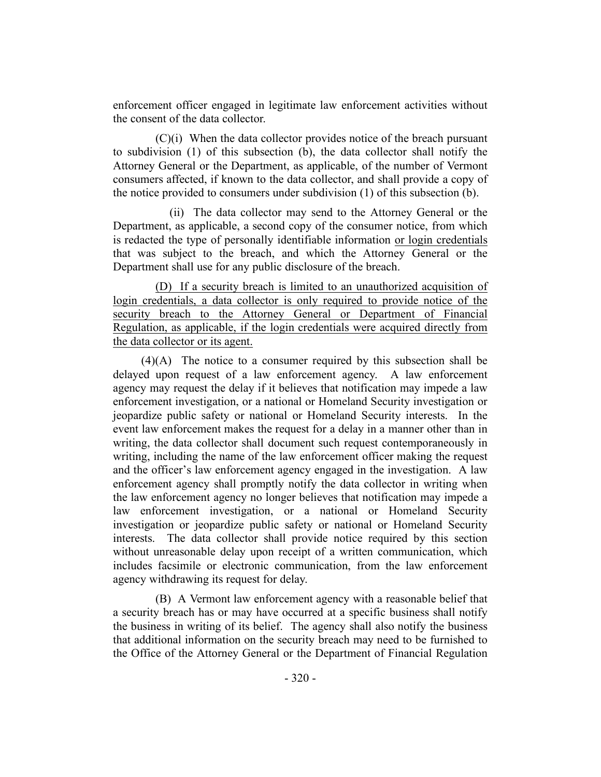enforcement officer engaged in legitimate law enforcement activities without the consent of the data collector.

(C)(i) When the data collector provides notice of the breach pursuant to subdivision (1) of this subsection (b), the data collector shall notify the Attorney General or the Department, as applicable, of the number of Vermont consumers affected, if known to the data collector, and shall provide a copy of the notice provided to consumers under subdivision (1) of this subsection (b).

(ii) The data collector may send to the Attorney General or the Department, as applicable, a second copy of the consumer notice, from which is redacted the type of personally identifiable information or login credentials that was subject to the breach, and which the Attorney General or the Department shall use for any public disclosure of the breach.

(D) If a security breach is limited to an unauthorized acquisition of login credentials, a data collector is only required to provide notice of the security breach to the Attorney General or Department of Financial Regulation, as applicable, if the login credentials were acquired directly from the data collector or its agent.

(4)(A) The notice to a consumer required by this subsection shall be delayed upon request of a law enforcement agency. A law enforcement agency may request the delay if it believes that notification may impede a law enforcement investigation, or a national or Homeland Security investigation or jeopardize public safety or national or Homeland Security interests. In the event law enforcement makes the request for a delay in a manner other than in writing, the data collector shall document such request contemporaneously in writing, including the name of the law enforcement officer making the request and the officer's law enforcement agency engaged in the investigation. A law enforcement agency shall promptly notify the data collector in writing when the law enforcement agency no longer believes that notification may impede a law enforcement investigation, or a national or Homeland Security investigation or jeopardize public safety or national or Homeland Security interests. The data collector shall provide notice required by this section without unreasonable delay upon receipt of a written communication, which includes facsimile or electronic communication, from the law enforcement agency withdrawing its request for delay.

(B) A Vermont law enforcement agency with a reasonable belief that a security breach has or may have occurred at a specific business shall notify the business in writing of its belief. The agency shall also notify the business that additional information on the security breach may need to be furnished to the Office of the Attorney General or the Department of Financial Regulation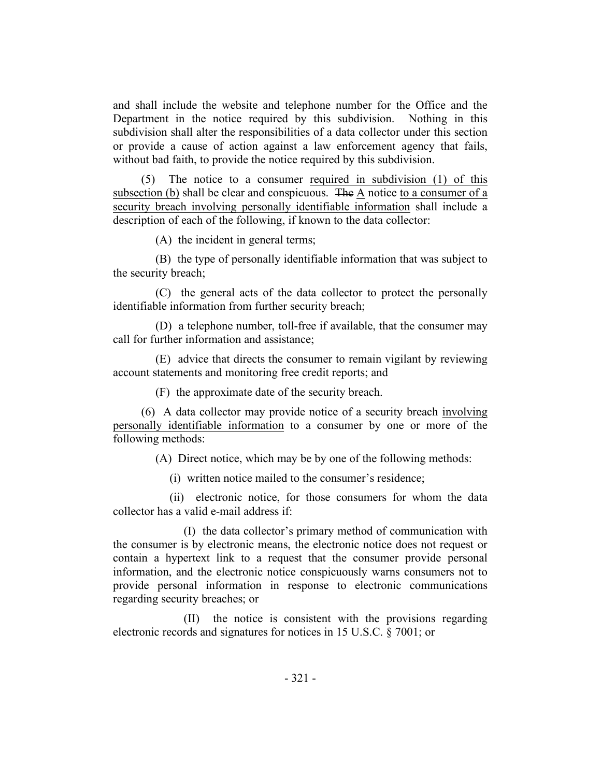and shall include the website and telephone number for the Office and the Department in the notice required by this subdivision. Nothing in this subdivision shall alter the responsibilities of a data collector under this section or provide a cause of action against a law enforcement agency that fails, without bad faith, to provide the notice required by this subdivision.

(5) The notice to a consumer required in subdivision (1) of this subsection (b) shall be clear and conspicuous. The A notice to a consumer of a security breach involving personally identifiable information shall include a description of each of the following, if known to the data collector:

(A) the incident in general terms;

(B) the type of personally identifiable information that was subject to the security breach;

(C) the general acts of the data collector to protect the personally identifiable information from further security breach;

(D) a telephone number, toll-free if available, that the consumer may call for further information and assistance;

(E) advice that directs the consumer to remain vigilant by reviewing account statements and monitoring free credit reports; and

(F) the approximate date of the security breach.

(6) A data collector may provide notice of a security breach involving personally identifiable information to a consumer by one or more of the following methods:

(A) Direct notice, which may be by one of the following methods:

(i) written notice mailed to the consumer's residence;

(ii) electronic notice, for those consumers for whom the data collector has a valid e-mail address if:

(I) the data collector's primary method of communication with the consumer is by electronic means, the electronic notice does not request or contain a hypertext link to a request that the consumer provide personal information, and the electronic notice conspicuously warns consumers not to provide personal information in response to electronic communications regarding security breaches; or

(II) the notice is consistent with the provisions regarding electronic records and signatures for notices in 15 U.S.C. § 7001; or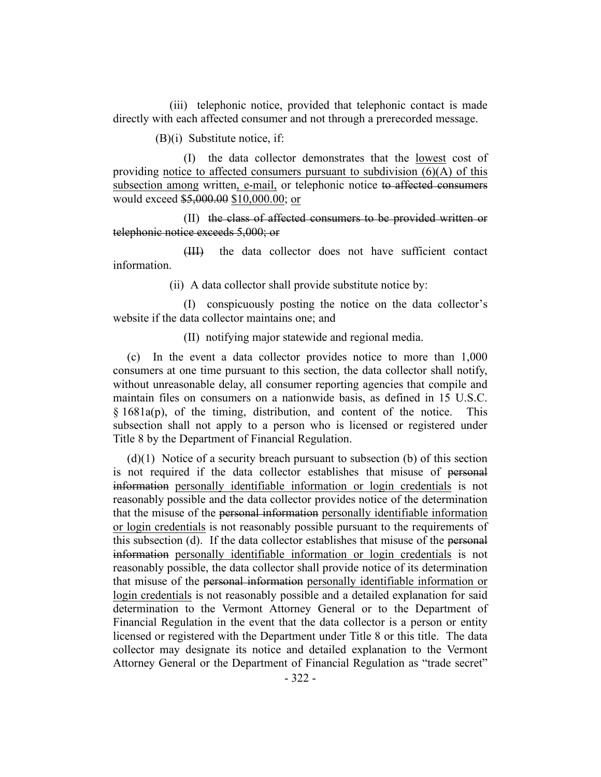(iii) telephonic notice, provided that telephonic contact is made directly with each affected consumer and not through a prerecorded message.

(B)(i) Substitute notice, if:

(I) the data collector demonstrates that the lowest cost of providing notice to affected consumers pursuant to subdivision  $(6)(A)$  of this subsection among written, e-mail, or telephonic notice to affected consumers would exceed \$5,000.00 \$10,000.00; or

(II) the class of affected consumers to be provided written or telephonic notice exceeds 5,000; or

(III) the data collector does not have sufficient contact information.

(ii) A data collector shall provide substitute notice by:

(I) conspicuously posting the notice on the data collector's website if the data collector maintains one; and

(II) notifying major statewide and regional media.

(c) In the event a data collector provides notice to more than 1,000 consumers at one time pursuant to this section, the data collector shall notify, without unreasonable delay, all consumer reporting agencies that compile and maintain files on consumers on a nationwide basis, as defined in 15 U.S.C. § 1681a(p), of the timing, distribution, and content of the notice. This subsection shall not apply to a person who is licensed or registered under Title 8 by the Department of Financial Regulation.

(d)(1) Notice of a security breach pursuant to subsection (b) of this section is not required if the data collector establishes that misuse of personal information personally identifiable information or login credentials is not reasonably possible and the data collector provides notice of the determination that the misuse of the personal information personally identifiable information or login credentials is not reasonably possible pursuant to the requirements of this subsection (d). If the data collector establishes that misuse of the personal information personally identifiable information or login credentials is not reasonably possible, the data collector shall provide notice of its determination that misuse of the personal information personally identifiable information or login credentials is not reasonably possible and a detailed explanation for said determination to the Vermont Attorney General or to the Department of Financial Regulation in the event that the data collector is a person or entity licensed or registered with the Department under Title 8 or this title. The data collector may designate its notice and detailed explanation to the Vermont Attorney General or the Department of Financial Regulation as "trade secret"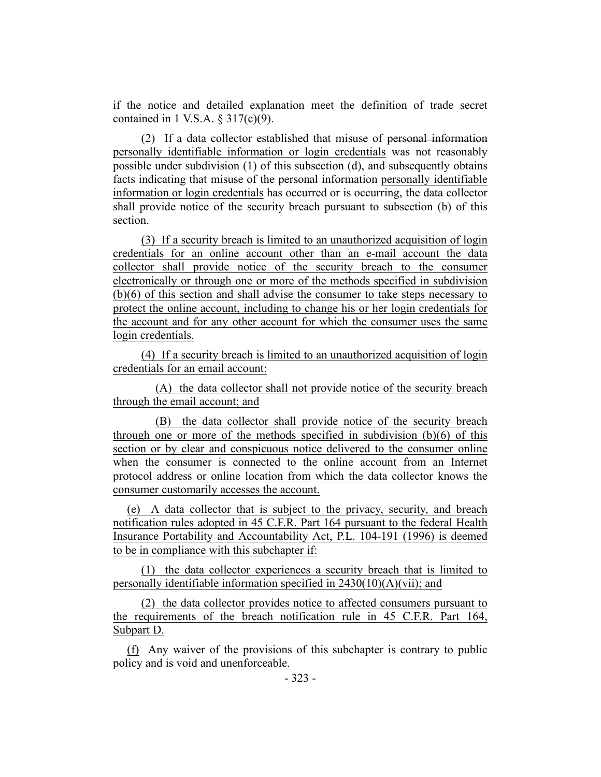if the notice and detailed explanation meet the definition of trade secret contained in 1 V.S.A.  $\S 317(c)(9)$ .

(2) If a data collector established that misuse of personal information personally identifiable information or login credentials was not reasonably possible under subdivision (1) of this subsection (d), and subsequently obtains facts indicating that misuse of the personal information personally identifiable information or login credentials has occurred or is occurring, the data collector shall provide notice of the security breach pursuant to subsection (b) of this section.

(3) If a security breach is limited to an unauthorized acquisition of login credentials for an online account other than an e-mail account the data collector shall provide notice of the security breach to the consumer electronically or through one or more of the methods specified in subdivision (b)(6) of this section and shall advise the consumer to take steps necessary to protect the online account, including to change his or her login credentials for the account and for any other account for which the consumer uses the same login credentials.

(4) If a security breach is limited to an unauthorized acquisition of login credentials for an email account:

(A) the data collector shall not provide notice of the security breach through the email account; and

(B) the data collector shall provide notice of the security breach through one or more of the methods specified in subdivision (b)(6) of this section or by clear and conspicuous notice delivered to the consumer online when the consumer is connected to the online account from an Internet protocol address or online location from which the data collector knows the consumer customarily accesses the account.

(e) A data collector that is subject to the privacy, security, and breach notification rules adopted in 45 C.F.R. Part 164 pursuant to the federal Health Insurance Portability and Accountability Act, P.L. 104-191 (1996) is deemed to be in compliance with this subchapter if:

(1) the data collector experiences a security breach that is limited to personally identifiable information specified in 2430(10)(A)(vii); and

(2) the data collector provides notice to affected consumers pursuant to the requirements of the breach notification rule in 45 C.F.R. Part 164, Subpart D.

(f) Any waiver of the provisions of this subchapter is contrary to public policy and is void and unenforceable.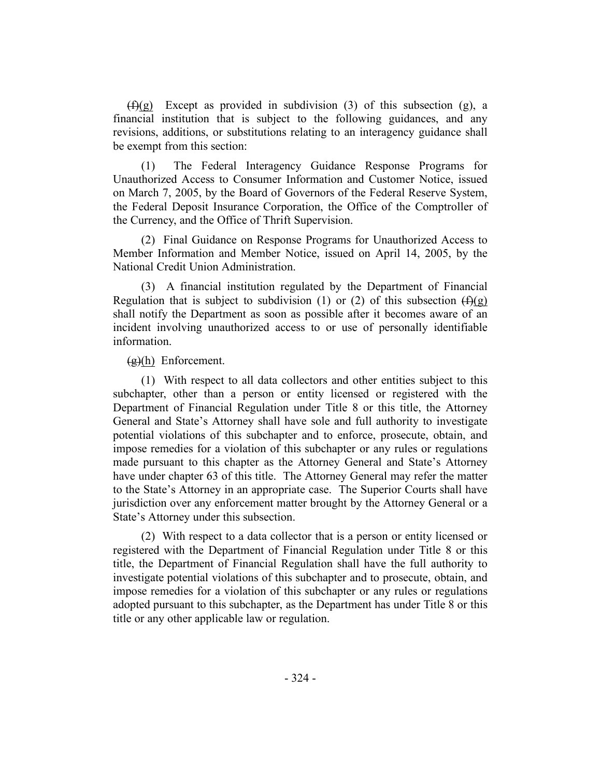$(f)(g)$  Except as provided in subdivision (3) of this subsection (g), a financial institution that is subject to the following guidances, and any revisions, additions, or substitutions relating to an interagency guidance shall be exempt from this section:

(1) The Federal Interagency Guidance Response Programs for Unauthorized Access to Consumer Information and Customer Notice, issued on March 7, 2005, by the Board of Governors of the Federal Reserve System, the Federal Deposit Insurance Corporation, the Office of the Comptroller of the Currency, and the Office of Thrift Supervision.

(2) Final Guidance on Response Programs for Unauthorized Access to Member Information and Member Notice, issued on April 14, 2005, by the National Credit Union Administration.

(3) A financial institution regulated by the Department of Financial Regulation that is subject to subdivision (1) or (2) of this subsection  $(f)(g)$ shall notify the Department as soon as possible after it becomes aware of an incident involving unauthorized access to or use of personally identifiable information.

## (g)(h) Enforcement.

(1) With respect to all data collectors and other entities subject to this subchapter, other than a person or entity licensed or registered with the Department of Financial Regulation under Title 8 or this title, the Attorney General and State's Attorney shall have sole and full authority to investigate potential violations of this subchapter and to enforce, prosecute, obtain, and impose remedies for a violation of this subchapter or any rules or regulations made pursuant to this chapter as the Attorney General and State's Attorney have under chapter 63 of this title. The Attorney General may refer the matter to the State's Attorney in an appropriate case. The Superior Courts shall have jurisdiction over any enforcement matter brought by the Attorney General or a State's Attorney under this subsection.

(2) With respect to a data collector that is a person or entity licensed or registered with the Department of Financial Regulation under Title 8 or this title, the Department of Financial Regulation shall have the full authority to investigate potential violations of this subchapter and to prosecute, obtain, and impose remedies for a violation of this subchapter or any rules or regulations adopted pursuant to this subchapter, as the Department has under Title 8 or this title or any other applicable law or regulation.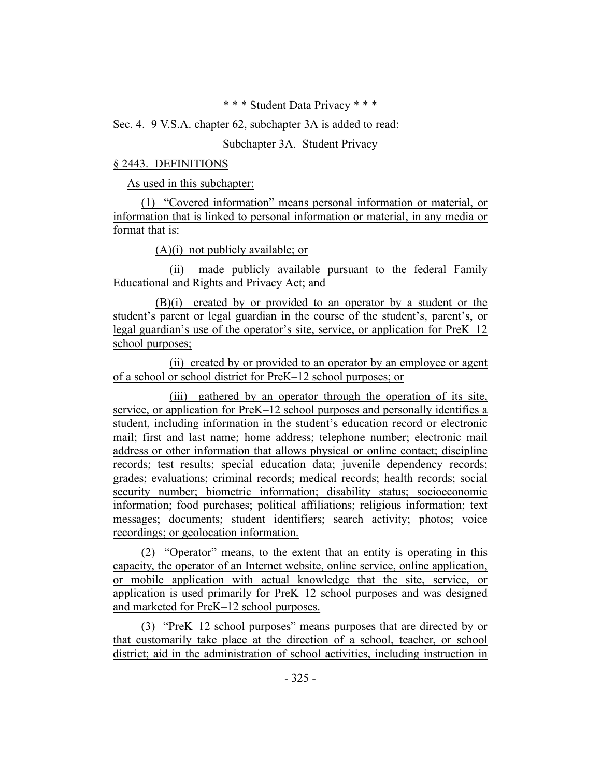\* \* \* Student Data Privacy \* \* \*

Sec. 4. 9 V.S.A. chapter 62, subchapter 3A is added to read:

## Subchapter 3A. Student Privacy

## § 2443. DEFINITIONS

As used in this subchapter:

(1) "Covered information" means personal information or material, or information that is linked to personal information or material, in any media or format that is:

(A)(i) not publicly available; or

(ii) made publicly available pursuant to the federal Family Educational and Rights and Privacy Act; and

(B)(i) created by or provided to an operator by a student or the student's parent or legal guardian in the course of the student's, parent's, or legal guardian's use of the operator's site, service, or application for PreK–12 school purposes;

(ii) created by or provided to an operator by an employee or agent of a school or school district for PreK–12 school purposes; or

(iii) gathered by an operator through the operation of its site, service, or application for PreK–12 school purposes and personally identifies a student, including information in the student's education record or electronic mail; first and last name; home address; telephone number; electronic mail address or other information that allows physical or online contact; discipline records; test results; special education data; juvenile dependency records; grades; evaluations; criminal records; medical records; health records; social security number; biometric information; disability status; socioeconomic information; food purchases; political affiliations; religious information; text messages; documents; student identifiers; search activity; photos; voice recordings; or geolocation information.

(2) "Operator" means, to the extent that an entity is operating in this capacity, the operator of an Internet website, online service, online application, or mobile application with actual knowledge that the site, service, or application is used primarily for PreK–12 school purposes and was designed and marketed for PreK–12 school purposes.

(3) "PreK–12 school purposes" means purposes that are directed by or that customarily take place at the direction of a school, teacher, or school district; aid in the administration of school activities, including instruction in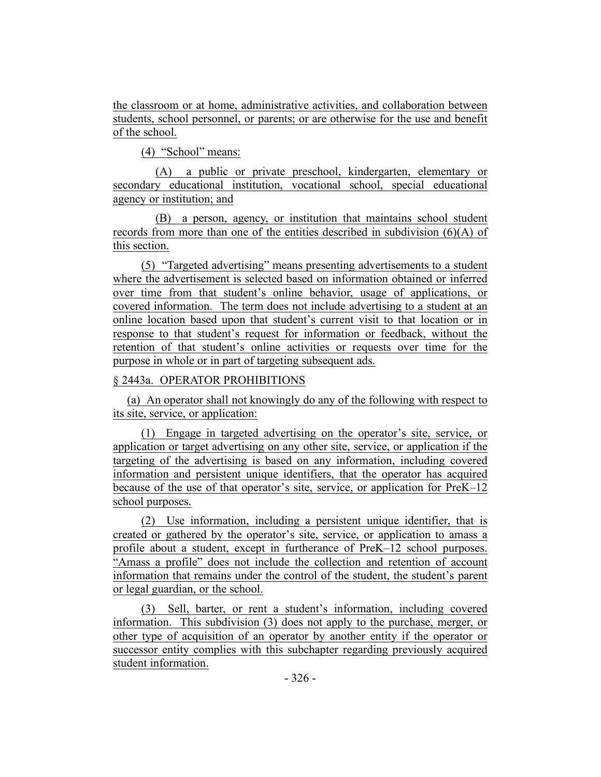the classroom or at home, administrative activities, and collaboration between students, school personnel, or parents; or are otherwise for the use and benefit of the school.

(4) "School" means:

(A) a public or private preschool, kindergarten, elementary or secondary educational institution, vocational school, special educational agency or institution; and

(B) a person, agency, or institution that maintains school student records from more than one of the entities described in subdivision (6)(A) of this section.

(5) "Targeted advertising" means presenting advertisements to a student where the advertisement is selected based on information obtained or inferred over time from that student's online behavior, usage of applications, or covered information. The term does not include advertising to a student at an online location based upon that student's current visit to that location or in response to that student's request for information or feedback, without the retention of that student's online activities or requests over time for the purpose in whole or in part of targeting subsequent ads.

## § 2443a. OPERATOR PROHIBITIONS

(a) An operator shall not knowingly do any of the following with respect to its site, service, or application:

(1) Engage in targeted advertising on the operator's site, service, or application or target advertising on any other site, service, or application if the targeting of the advertising is based on any information, including covered information and persistent unique identifiers, that the operator has acquired because of the use of that operator's site, service, or application for PreK–12 school purposes.

(2) Use information, including a persistent unique identifier, that is created or gathered by the operator's site, service, or application to amass a profile about a student, except in furtherance of PreK–12 school purposes. "Amass a profile" does not include the collection and retention of account information that remains under the control of the student, the student's parent or legal guardian, or the school.

(3) Sell, barter, or rent a student's information, including covered information. This subdivision (3) does not apply to the purchase, merger, or other type of acquisition of an operator by another entity if the operator or successor entity complies with this subchapter regarding previously acquired student information.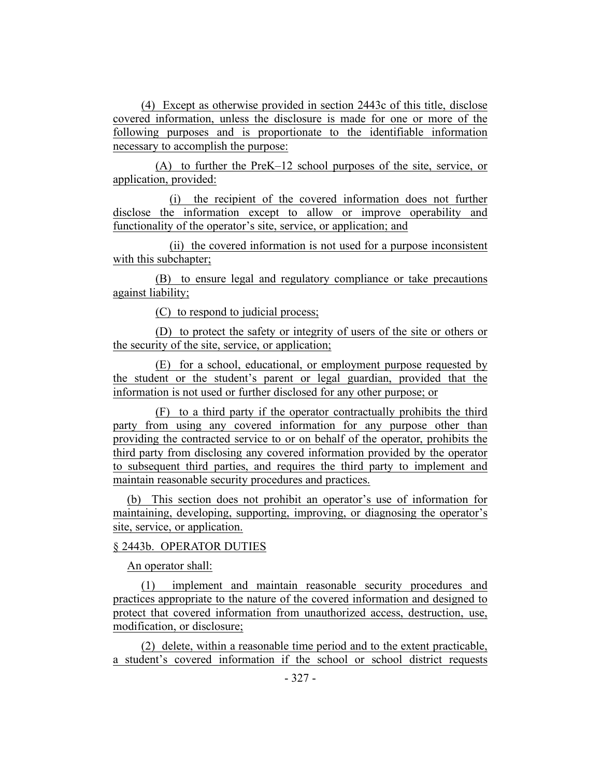(4) Except as otherwise provided in section 2443c of this title, disclose covered information, unless the disclosure is made for one or more of the following purposes and is proportionate to the identifiable information necessary to accomplish the purpose:

(A) to further the PreK–12 school purposes of the site, service, or application, provided:

(i) the recipient of the covered information does not further disclose the information except to allow or improve operability and functionality of the operator's site, service, or application; and

(ii) the covered information is not used for a purpose inconsistent with this subchapter;

(B) to ensure legal and regulatory compliance or take precautions against liability;

(C) to respond to judicial process;

(D) to protect the safety or integrity of users of the site or others or the security of the site, service, or application;

(E) for a school, educational, or employment purpose requested by the student or the student's parent or legal guardian, provided that the information is not used or further disclosed for any other purpose; or

(F) to a third party if the operator contractually prohibits the third party from using any covered information for any purpose other than providing the contracted service to or on behalf of the operator, prohibits the third party from disclosing any covered information provided by the operator to subsequent third parties, and requires the third party to implement and maintain reasonable security procedures and practices.

(b) This section does not prohibit an operator's use of information for maintaining, developing, supporting, improving, or diagnosing the operator's site, service, or application.

### § 2443b. OPERATOR DUTIES

An operator shall:

(1) implement and maintain reasonable security procedures and practices appropriate to the nature of the covered information and designed to protect that covered information from unauthorized access, destruction, use, modification, or disclosure;

(2) delete, within a reasonable time period and to the extent practicable, a student's covered information if the school or school district requests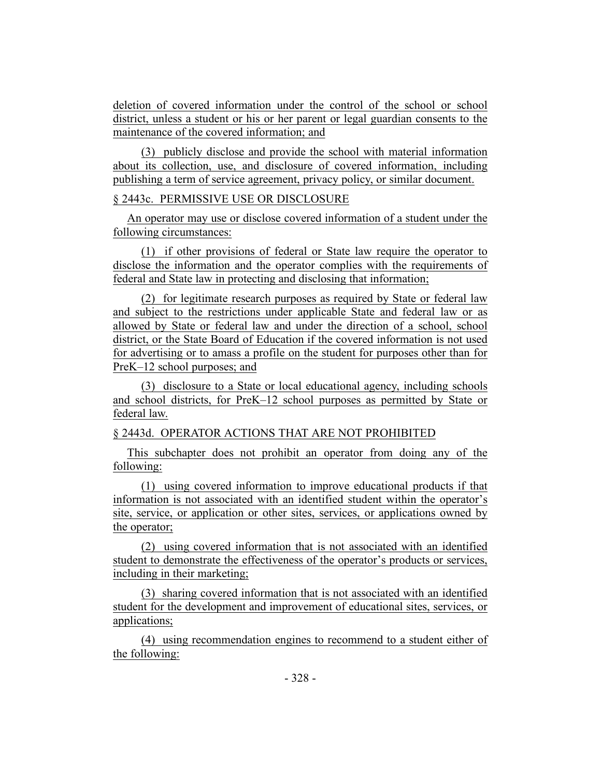deletion of covered information under the control of the school or school district, unless a student or his or her parent or legal guardian consents to the maintenance of the covered information; and

(3) publicly disclose and provide the school with material information about its collection, use, and disclosure of covered information, including publishing a term of service agreement, privacy policy, or similar document.

## § 2443c. PERMISSIVE USE OR DISCLOSURE

An operator may use or disclose covered information of a student under the following circumstances:

(1) if other provisions of federal or State law require the operator to disclose the information and the operator complies with the requirements of federal and State law in protecting and disclosing that information;

(2) for legitimate research purposes as required by State or federal law and subject to the restrictions under applicable State and federal law or as allowed by State or federal law and under the direction of a school, school district, or the State Board of Education if the covered information is not used for advertising or to amass a profile on the student for purposes other than for PreK–12 school purposes; and

(3) disclosure to a State or local educational agency, including schools and school districts, for PreK–12 school purposes as permitted by State or federal law.

## § 2443d. OPERATOR ACTIONS THAT ARE NOT PROHIBITED

This subchapter does not prohibit an operator from doing any of the following:

(1) using covered information to improve educational products if that information is not associated with an identified student within the operator's site, service, or application or other sites, services, or applications owned by the operator;

(2) using covered information that is not associated with an identified student to demonstrate the effectiveness of the operator's products or services, including in their marketing;

(3) sharing covered information that is not associated with an identified student for the development and improvement of educational sites, services, or applications;

(4) using recommendation engines to recommend to a student either of the following: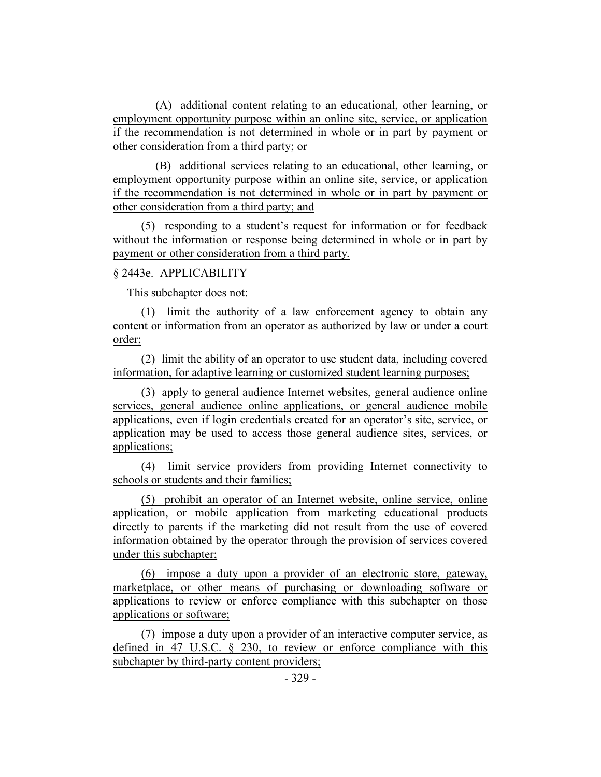(A) additional content relating to an educational, other learning, or employment opportunity purpose within an online site, service, or application if the recommendation is not determined in whole or in part by payment or other consideration from a third party; or

(B) additional services relating to an educational, other learning, or employment opportunity purpose within an online site, service, or application if the recommendation is not determined in whole or in part by payment or other consideration from a third party; and

(5) responding to a student's request for information or for feedback without the information or response being determined in whole or in part by payment or other consideration from a third party.

## § 2443e. APPLICABILITY

This subchapter does not:

(1) limit the authority of a law enforcement agency to obtain any content or information from an operator as authorized by law or under a court order;

(2) limit the ability of an operator to use student data, including covered information, for adaptive learning or customized student learning purposes;

(3) apply to general audience Internet websites, general audience online services, general audience online applications, or general audience mobile applications, even if login credentials created for an operator's site, service, or application may be used to access those general audience sites, services, or applications;

(4) limit service providers from providing Internet connectivity to schools or students and their families;

(5) prohibit an operator of an Internet website, online service, online application, or mobile application from marketing educational products directly to parents if the marketing did not result from the use of covered information obtained by the operator through the provision of services covered under this subchapter;

(6) impose a duty upon a provider of an electronic store, gateway, marketplace, or other means of purchasing or downloading software or applications to review or enforce compliance with this subchapter on those applications or software;

(7) impose a duty upon a provider of an interactive computer service, as defined in 47 U.S.C. § 230, to review or enforce compliance with this subchapter by third-party content providers;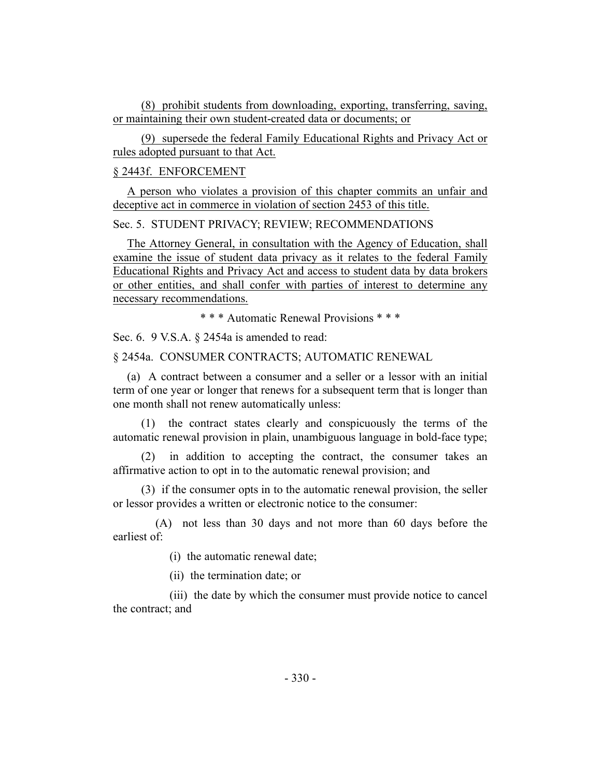(8) prohibit students from downloading, exporting, transferring, saving, or maintaining their own student-created data or documents; or

(9) supersede the federal Family Educational Rights and Privacy Act or rules adopted pursuant to that Act.

#### § 2443f. ENFORCEMENT

A person who violates a provision of this chapter commits an unfair and deceptive act in commerce in violation of section 2453 of this title.

## Sec. 5. STUDENT PRIVACY; REVIEW; RECOMMENDATIONS

The Attorney General, in consultation with the Agency of Education, shall examine the issue of student data privacy as it relates to the federal Family Educational Rights and Privacy Act and access to student data by data brokers or other entities, and shall confer with parties of interest to determine any necessary recommendations.

\* \* \* Automatic Renewal Provisions \* \* \*

Sec. 6. 9 V.S.A. § 2454a is amended to read:

§ 2454a. CONSUMER CONTRACTS; AUTOMATIC RENEWAL

(a) A contract between a consumer and a seller or a lessor with an initial term of one year or longer that renews for a subsequent term that is longer than one month shall not renew automatically unless:

(1) the contract states clearly and conspicuously the terms of the automatic renewal provision in plain, unambiguous language in bold-face type;

(2) in addition to accepting the contract, the consumer takes an affirmative action to opt in to the automatic renewal provision; and

(3) if the consumer opts in to the automatic renewal provision, the seller or lessor provides a written or electronic notice to the consumer:

(A) not less than 30 days and not more than 60 days before the earliest of:

(i) the automatic renewal date;

(ii) the termination date; or

(iii) the date by which the consumer must provide notice to cancel the contract; and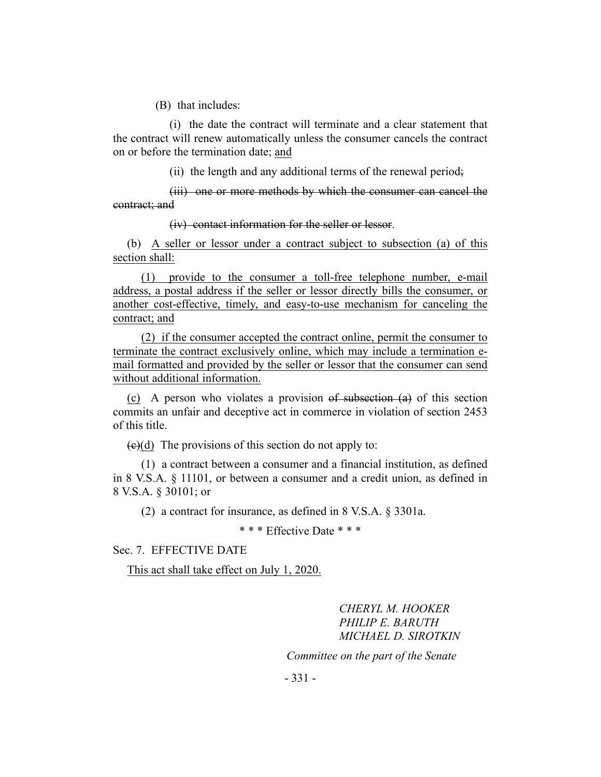(B) that includes:

(i) the date the contract will terminate and a clear statement that the contract will renew automatically unless the consumer cancels the contract on or before the termination date; and

(ii) the length and any additional terms of the renewal period;

(iii) one or more methods by which the consumer can cancel the contract; and

(iv) contact information for the seller or lessor.

(b) A seller or lessor under a contract subject to subsection (a) of this section shall:

(1) provide to the consumer a toll-free telephone number, e-mail address, a postal address if the seller or lessor directly bills the consumer, or another cost-effective, timely, and easy-to-use mechanism for canceling the contract; and

(2) if the consumer accepted the contract online, permit the consumer to terminate the contract exclusively online, which may include a termination email formatted and provided by the seller or lessor that the consumer can send without additional information.

(c) A person who violates a provision of subsection (a) of this section commits an unfair and deceptive act in commerce in violation of section 2453 of this title.

 $\left(\frac{c}{c}\right)$  The provisions of this section do not apply to:

(1) a contract between a consumer and a financial institution, as defined in 8 V.S.A. § 11101, or between a consumer and a credit union, as defined in 8 V.S.A. § 30101; or

(2) a contract for insurance, as defined in 8 V.S.A. § 3301a.

\* \* \* Effective Date \* \* \*

Sec. 7. EFFECTIVE DATE

This act shall take effect on July 1, 2020.

*CHERYL M. HOOKER PHILIP E. BARUTH MICHAEL D. SIROTKIN*

*Committee on the part of the Senate*

- 331 -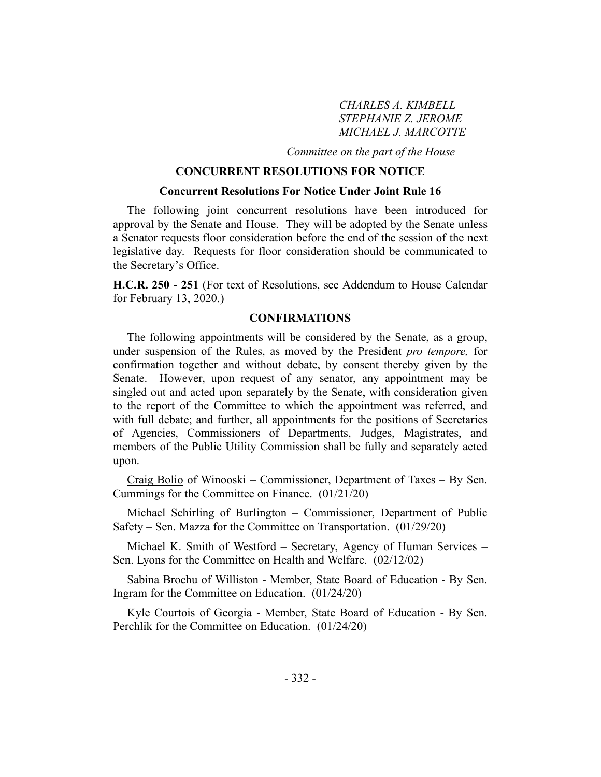*CHARLES A. KIMBELL STEPHANIE Z. JEROME MICHAEL J. MARCOTTE*

*Committee on the part of the House*

## **CONCURRENT RESOLUTIONS FOR NOTICE**

#### **Concurrent Resolutions For Notice Under Joint Rule 16**

The following joint concurrent resolutions have been introduced for approval by the Senate and House. They will be adopted by the Senate unless a Senator requests floor consideration before the end of the session of the next legislative day. Requests for floor consideration should be communicated to the Secretary's Office.

**H.C.R. 250 - 251** (For text of Resolutions, see Addendum to House Calendar for February 13, 2020.)

#### **CONFIRMATIONS**

The following appointments will be considered by the Senate, as a group, under suspension of the Rules, as moved by the President *pro tempore,* for confirmation together and without debate, by consent thereby given by the Senate. However, upon request of any senator, any appointment may be singled out and acted upon separately by the Senate, with consideration given to the report of the Committee to which the appointment was referred, and with full debate; and further, all appointments for the positions of Secretaries of Agencies, Commissioners of Departments, Judges, Magistrates, and members of the Public Utility Commission shall be fully and separately acted upon.

Craig Bolio of Winooski – Commissioner, Department of Taxes – By Sen. Cummings for the Committee on Finance. (01/21/20)

Michael Schirling of Burlington – Commissioner, Department of Public Safety – Sen. Mazza for the Committee on Transportation. (01/29/20)

Michael K. Smith of Westford – Secretary, Agency of Human Services – Sen. Lyons for the Committee on Health and Welfare. (02/12/02)

Sabina Brochu of Williston - Member, State Board of Education - By Sen. Ingram for the Committee on Education. (01/24/20)

Kyle Courtois of Georgia - Member, State Board of Education - By Sen. Perchlik for the Committee on Education. (01/24/20)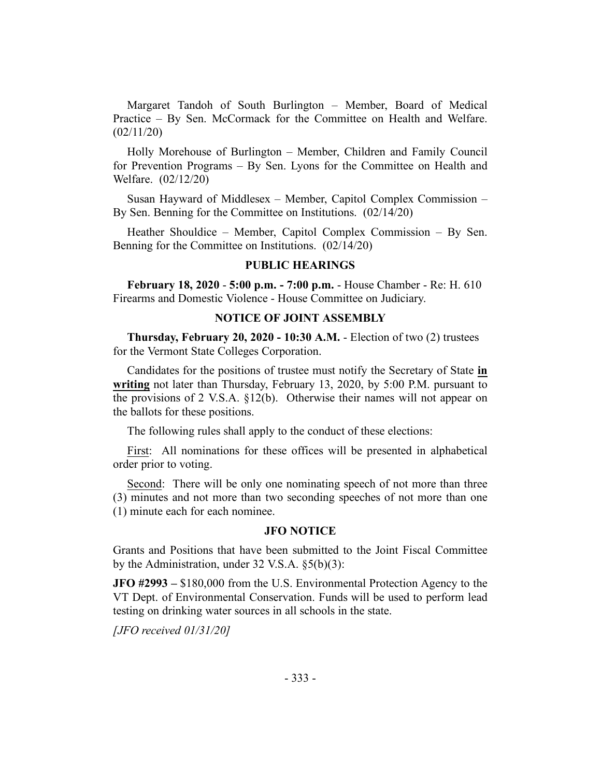Margaret Tandoh of South Burlington – Member, Board of Medical Practice – By Sen. McCormack for the Committee on Health and Welfare. (02/11/20)

Holly Morehouse of Burlington – Member, Children and Family Council for Prevention Programs – By Sen. Lyons for the Committee on Health and Welfare. (02/12/20)

Susan Hayward of Middlesex – Member, Capitol Complex Commission – By Sen. Benning for the Committee on Institutions. (02/14/20)

Heather Shouldice – Member, Capitol Complex Commission – By Sen. Benning for the Committee on Institutions. (02/14/20)

#### **PUBLIC HEARINGS**

**February 18, 2020** - **5:00 p.m. - 7:00 p.m.** - House Chamber - Re: H. 610 Firearms and Domestic Violence - House Committee on Judiciary.

## **NOTICE OF JOINT ASSEMBLY**

**Thursday, February 20, 2020 - 10:30 A.M.** - Election of two (2) trustees for the Vermont State Colleges Corporation.

Candidates for the positions of trustee must notify the Secretary of State **in writing** not later than Thursday, February 13, 2020, by 5:00 P.M. pursuant to the provisions of 2 V.S.A. §12(b). Otherwise their names will not appear on the ballots for these positions.

The following rules shall apply to the conduct of these elections:

First: All nominations for these offices will be presented in alphabetical order prior to voting.

Second: There will be only one nominating speech of not more than three (3) minutes and not more than two seconding speeches of not more than one (1) minute each for each nominee.

#### **JFO NOTICE**

Grants and Positions that have been submitted to the Joint Fiscal Committee by the Administration, under 32 V.S.A. §5(b)(3):

**JFO #2993 –** \$180,000 from the U.S. Environmental Protection Agency to the VT Dept. of Environmental Conservation. Funds will be used to perform lead testing on drinking water sources in all schools in the state.

*[JFO received 01/31/20]*